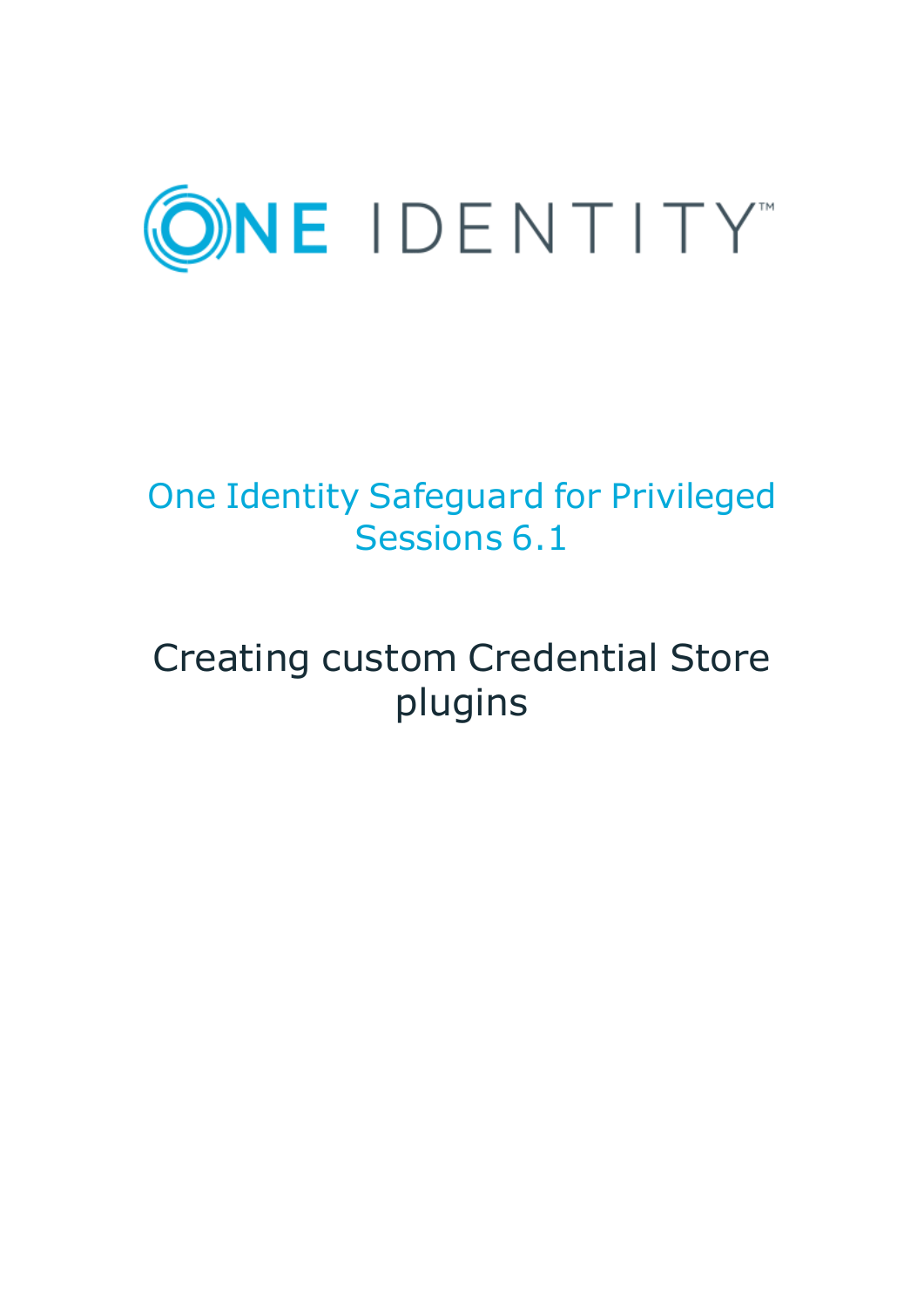

## One Identity Safeguard for Privileged Sessions 6.1

# Creating custom Credential Store plugins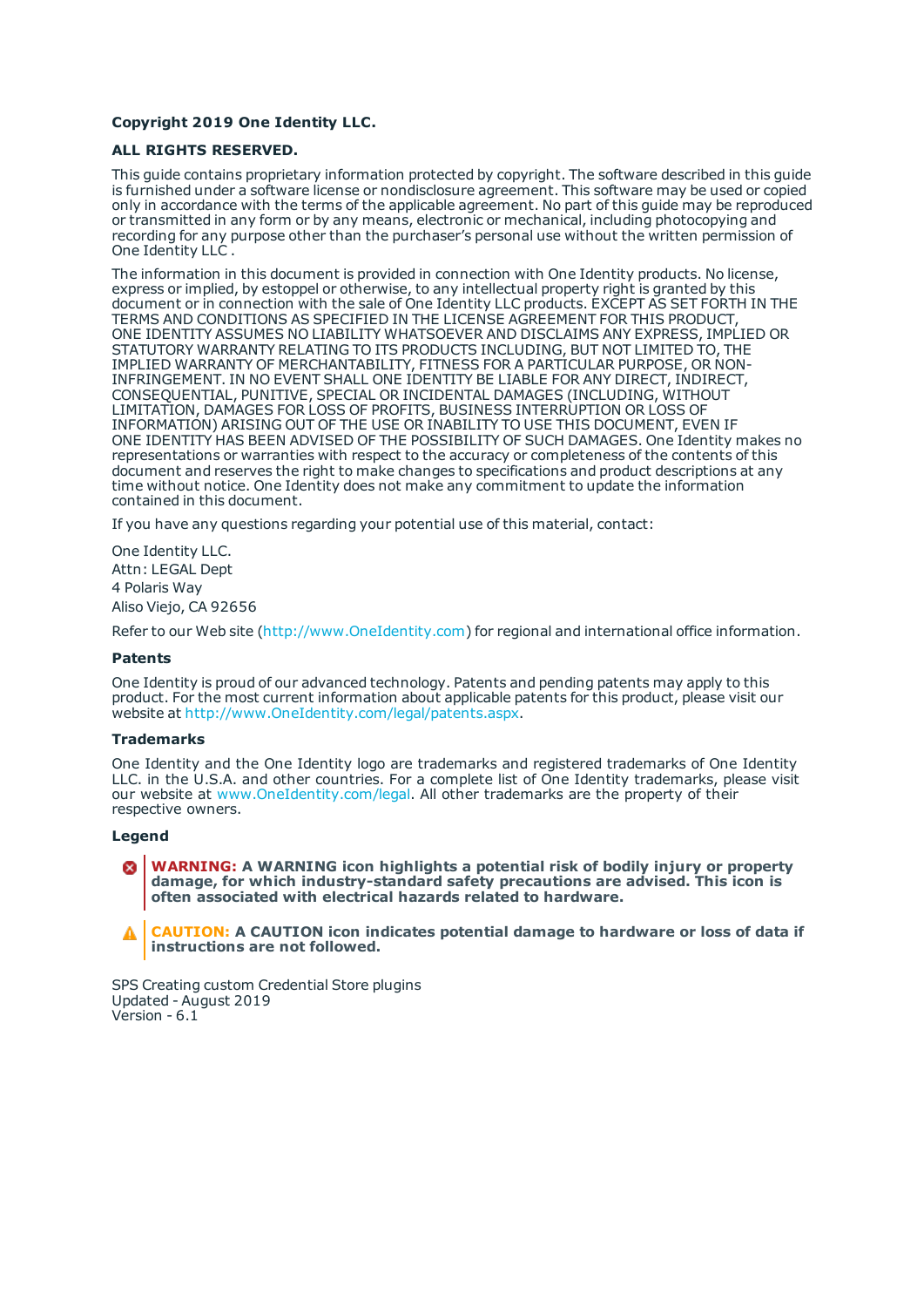#### **Copyright 2019 One Identity LLC.**

#### **ALL RIGHTS RESERVED.**

This guide contains proprietary information protected by copyright. The software described in this guide is furnished under a software license or nondisclosure agreement. This software may be used or copied only in accordance with the terms of the applicable agreement. No part of this guide may be reproduced or transmitted in any form or by any means, electronic or mechanical, including photocopying and recording for any purpose other than the purchaser's personal use without the written permission of One Identity LLC .

The information in this document is provided in connection with One Identity products. No license, express or implied, by estoppel or otherwise, to any intellectual property right is granted by this document or in connection with the sale of One Identity LLC products. EXCEPT AS SET FORTH IN THE TERMS AND CONDITIONS AS SPECIFIED IN THE LICENSE AGREEMENT FOR THIS PRODUCT, ONE IDENTITY ASSUMES NO LIABILITY WHATSOEVER AND DISCLAIMS ANY EXPRESS, IMPLIED OR STATUTORY WARRANTY RELATING TO ITS PRODUCTS INCLUDING, BUT NOT LIMITED TO, THE IMPLIED WARRANTY OF MERCHANTABILITY, FITNESS FOR A PARTICULAR PURPOSE, OR NON-INFRINGEMENT. IN NO EVENT SHALL ONE IDENTITY BE LIABLE FOR ANY DIRECT, INDIRECT, CONSEQUENTIAL, PUNITIVE, SPECIAL OR INCIDENTAL DAMAGES (INCLUDING, WITHOUT LIMITATION, DAMAGES FOR LOSS OF PROFITS, BUSINESS INTERRUPTION OR LOSS OF INFORMATION) ARISING OUT OF THE USE OR INABILITY TO USE THIS DOCUMENT, EVEN IF ONE IDENTITY HAS BEEN ADVISED OF THE POSSIBILITY OF SUCH DAMAGES. One Identity makes no representations or warranties with respect to the accuracy or completeness of the contents of this document and reserves the right to make changes to specifications and product descriptions at any time without notice. One Identity does not make any commitment to update the information contained in this document.

If you have any questions regarding your potential use of this material, contact:

One Identity LLC. Attn: LEGAL Dept 4 Polaris Way Aliso Viejo, CA 92656

Refer to our Web site ([http://www.OneIdentity.com](http://www.oneidentity.com/)) for regional and international office information.

#### **Patents**

One Identity is proud of our advanced technology. Patents and pending patents may apply to this product. For the most current information about applicable patents for this product, please visit our website at [http://www.OneIdentity.com/legal/patents.aspx](http://www.oneidentity.com/legal/patents.aspx).

#### **Trademarks**

One Identity and the One Identity logo are trademarks and registered trademarks of One Identity LLC. in the U.S.A. and other countries. For a complete list of One Identity trademarks, please visit our website at [www.OneIdentity.com/legal](http://www.oneidentity.com/legal). All other trademarks are the property of their respective owners.

#### **Legend**

**WARNING: A WARNING icon highlights a potential risk of bodily injury or property damage, for which industry-standard safety precautions are advised. This icon is often associated with electrical hazards related to hardware.**

**CAUTION: A CAUTION icon indicates potential damage to hardware or loss of data if** A **instructions are not followed.**

SPS Creating custom Credential Store plugins Updated - August 2019 Version - 6.1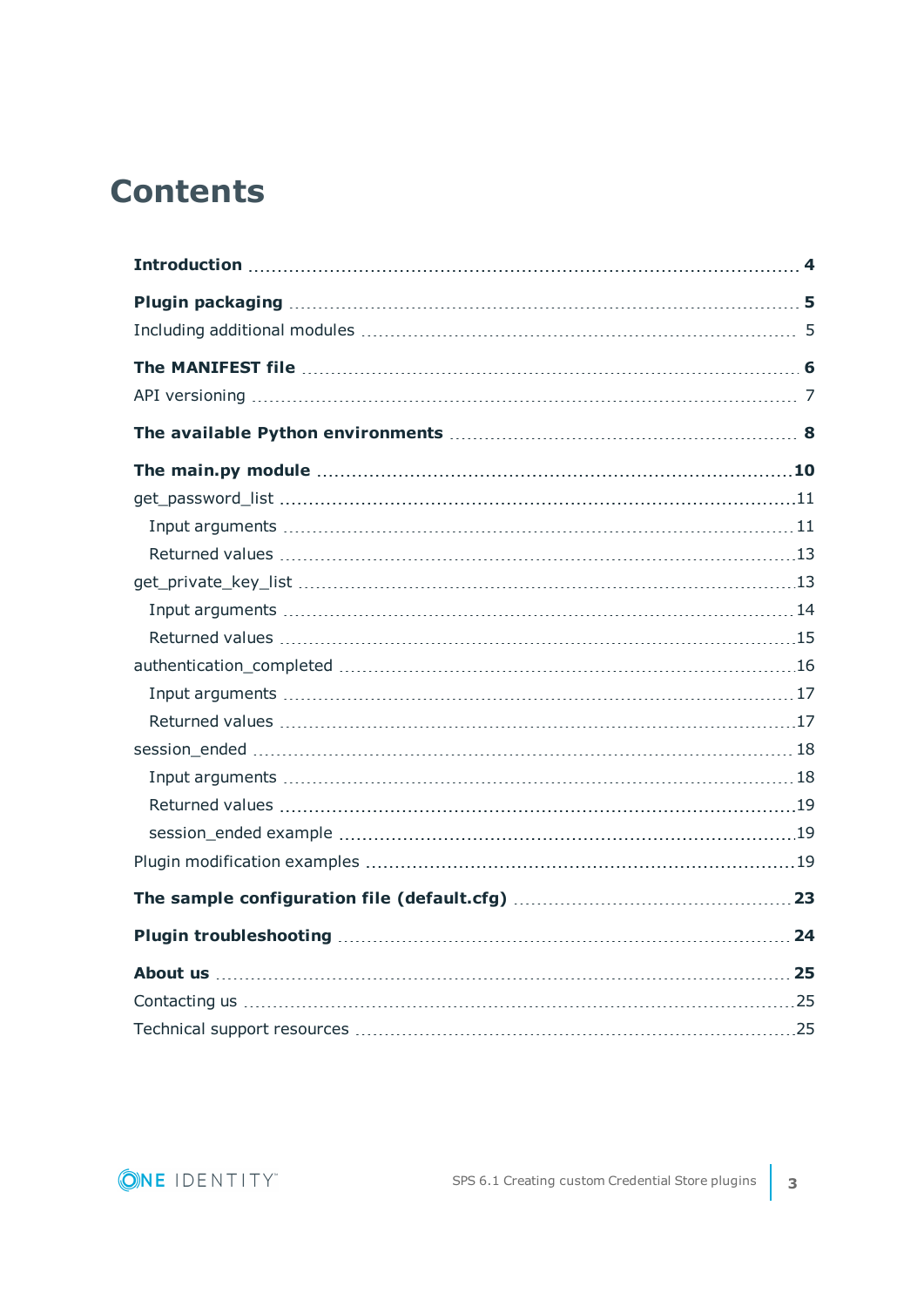## **Contents**

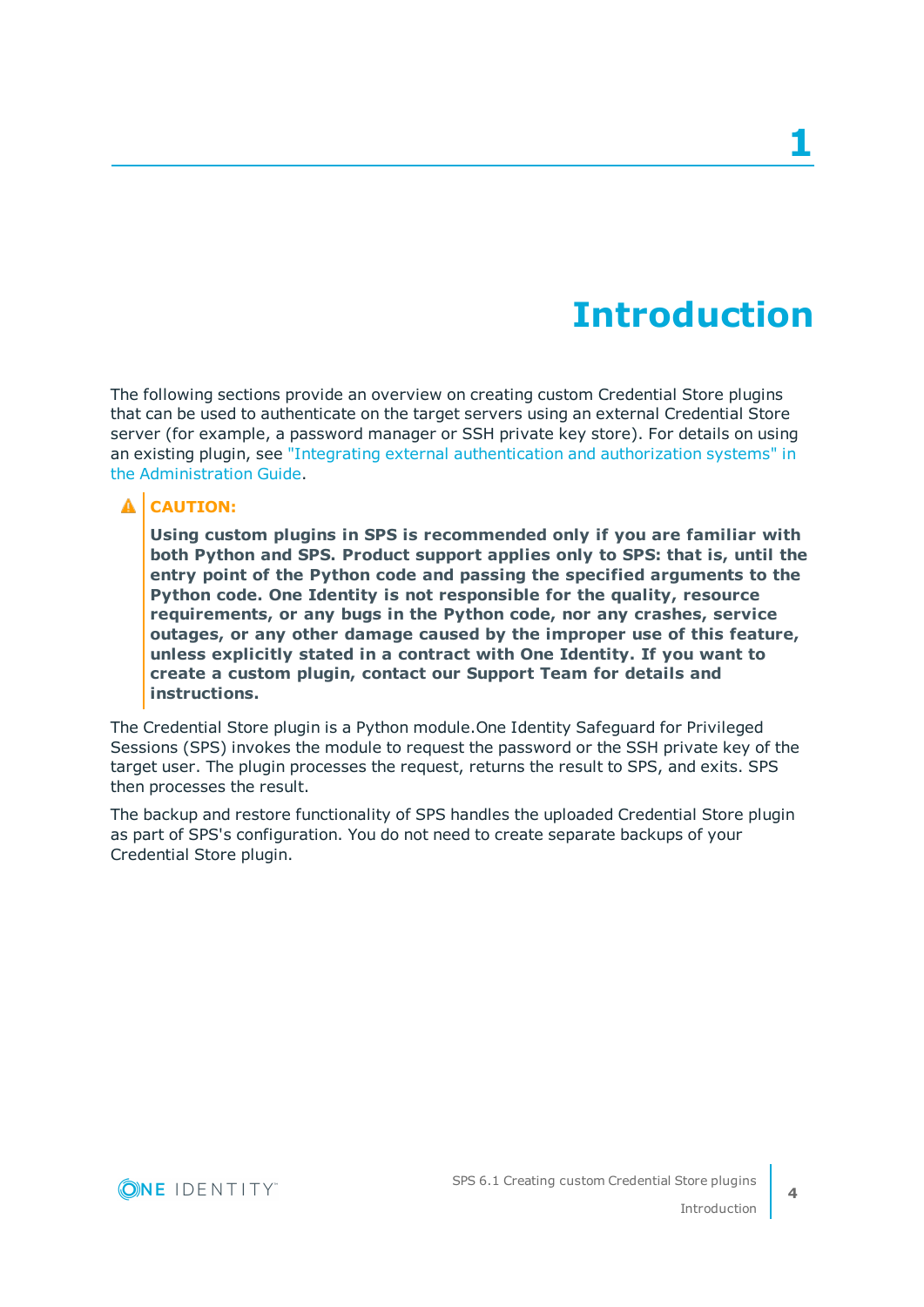## **Introduction**

<span id="page-3-0"></span>The following sections provide an overview on creating custom Credential Store plugins that can be used to authenticate on the target servers using an external Credential Store server (for example, a password manager or SSH private key store). For details on using an existing plugin, see "Integrating external [authentication](https://support.oneidentity.com/technical-documents/safeguard-for-privileged-sessions/6.1.0/administration-guide/advanced-authentication-and-authorization-techniques/integrating-external-authentication-and-authorization-systems/) and authorization systems" in the [Administration](https://support.oneidentity.com/technical-documents/safeguard-for-privileged-sessions/6.1.0/administration-guide/advanced-authentication-and-authorization-techniques/integrating-external-authentication-and-authorization-systems/) Guide.

#### **A** CAUTION:

**Using custom plugins in SPS is recommended only if you are familiar with both Python and SPS. Product support applies only to SPS: that is, until the entry point of the Python code and passing the specified arguments to the Python code. One Identity is not responsible for the quality, resource requirements, or any bugs in the Python code, nor any crashes, service outages, or any other damage caused by the improper use of this feature, unless explicitly stated in a contract with One Identity. If you want to create a custom plugin, contact our Support Team for details and instructions.**

The Credential Store plugin is a Python module.One Identity Safeguard for Privileged Sessions (SPS) invokes the module to request the password or the SSH private key of the target user. The plugin processes the request, returns the result to SPS, and exits. SPS then processes the result.

The backup and restore functionality of SPS handles the uploaded Credential Store plugin as part of SPS's configuration. You do not need to create separate backups of your Credential Store plugin.

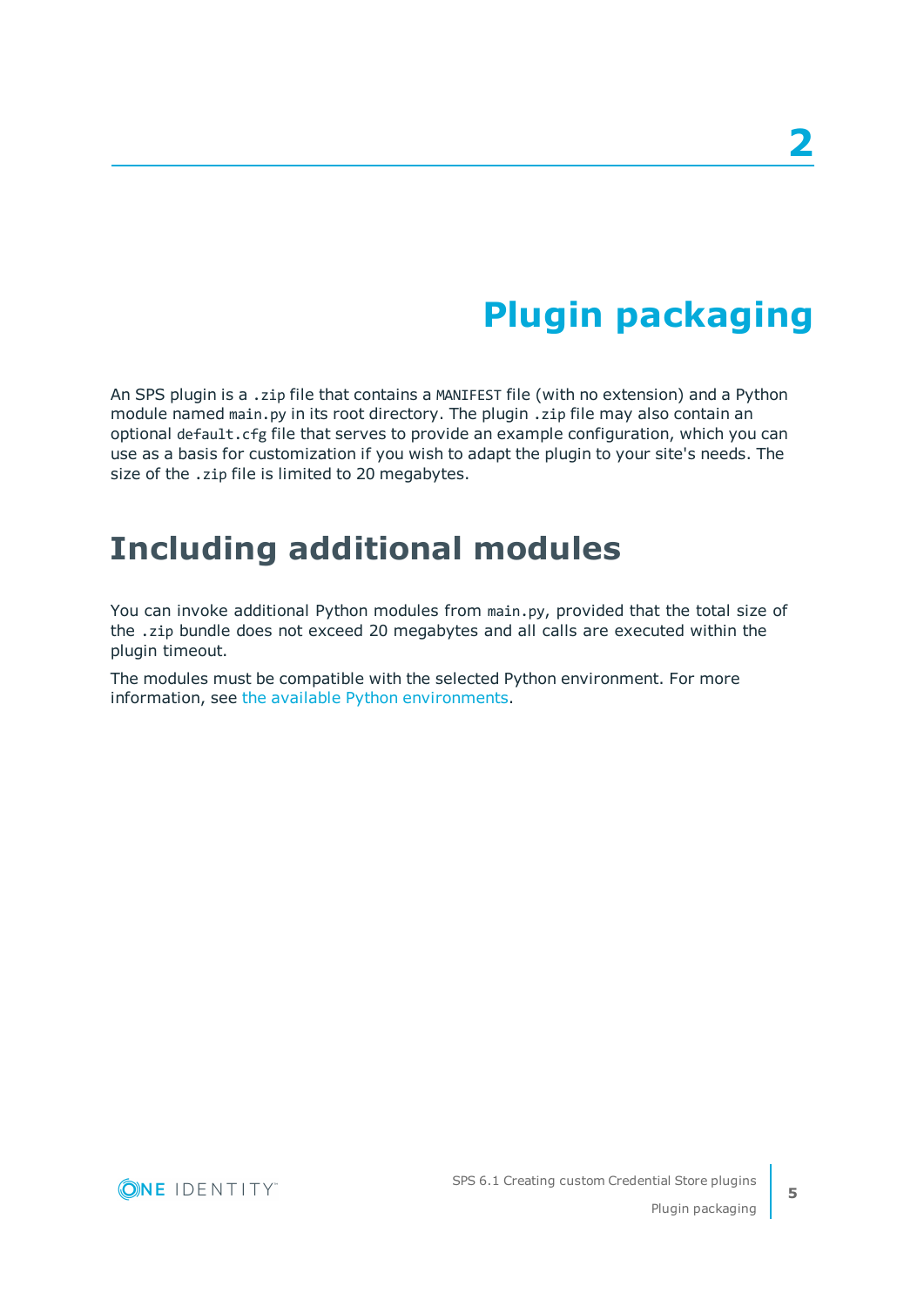## **Plugin packaging**

<span id="page-4-0"></span>An SPS plugin is a .zip file that contains a MANIFEST file (with no extension) and a Python module named main.py in its root directory. The plugin .zip file may also contain an optional default.cfg file that serves to provide an example configuration, which you can use as a basis for customization if you wish to adapt the plugin to your site's needs. The size of the .zip file is limited to 20 megabytes.

### <span id="page-4-1"></span>**Including additional modules**

You can invoke additional Python modules from main.py, provided that the total size of the .zip bundle does not exceed 20 megabytes and all calls are executed within the plugin timeout.

The modules must be compatible with the selected Python environment. For more information, see the available Python environments.



**5**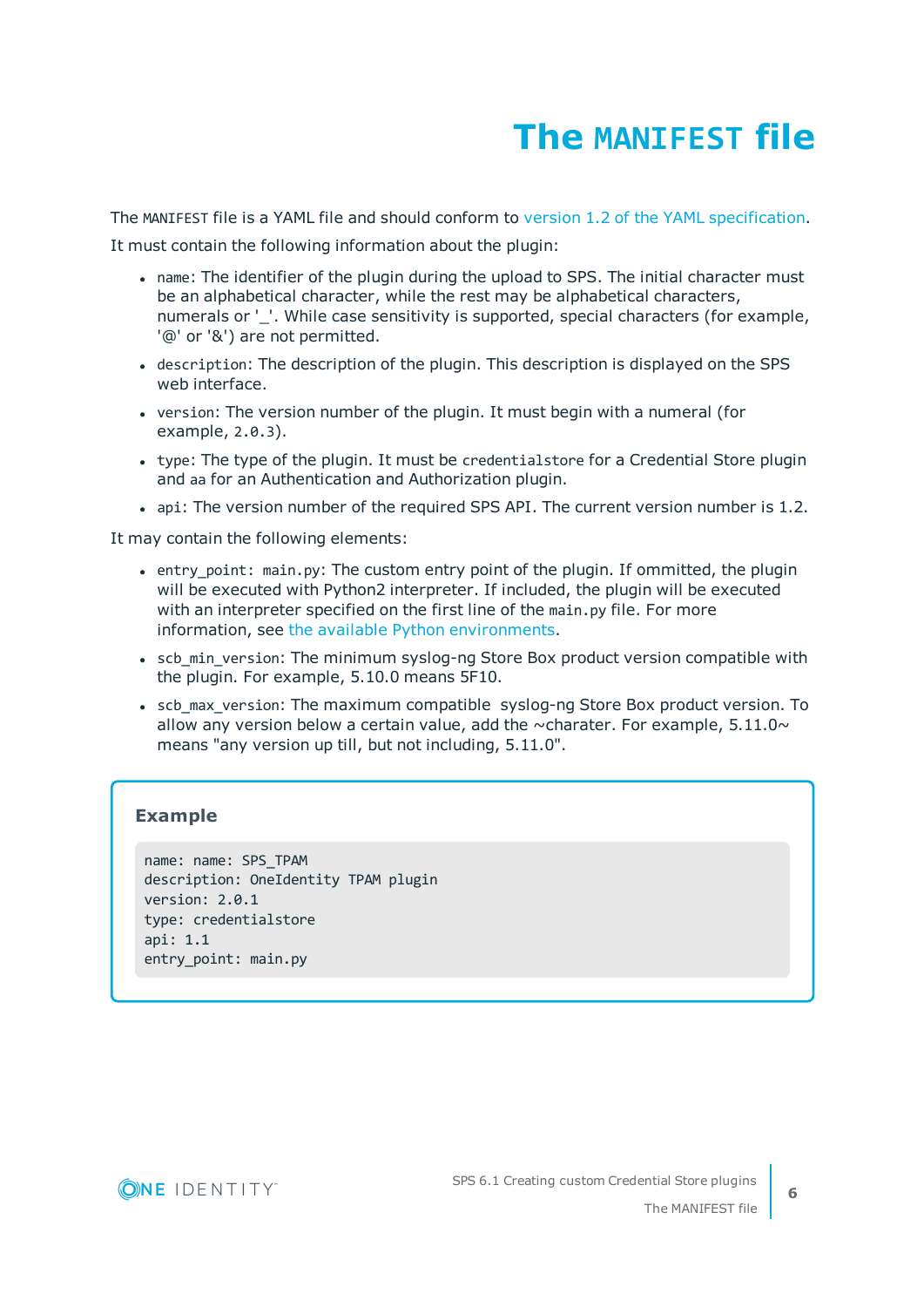## **The MANIFEST file**

<span id="page-5-0"></span>The MANIFEST file is a YAML file and should conform to version 1.2 of the YAML [specification](http://yaml.org/spec/).

It must contain the following information about the plugin:

- name: The identifier of the plugin during the upload to SPS. The initial character must be an alphabetical character, while the rest may be alphabetical characters, numerals or ''. While case sensitivity is supported, special characters (for example, '@' or '&') are not permitted.
- description: The description of the plugin. This description is displayed on the SPS web interface.
- version: The version number of the plugin. It must begin with a numeral (for example, 2.0.3).
- type: The type of the plugin. It must be credentialstore for a Credential Store plugin and aa for an Authentication and Authorization plugin.
- api: The version number of the required SPS API. The current version number is 1.2.

It may contain the following elements:

- entry point: main.py: The custom entry point of the plugin. If ommitted, the plugin will be executed with Python2 interpreter. If included, the plugin will be executed with an interpreter specified on the first line of the main.py file. For more information, see the available Python [environments.](#page-7-0)
- scb min version: The minimum syslog-ng Store Box product version compatible with the plugin. For example, 5.10.0 means 5F10.
- scb max version: The maximum compatible syslog-ng Store Box product version. To allow any version below a certain value, add the  $\sim$ charater. For example, 5.11.0 $\sim$ means "any version up till, but not including, 5.11.0".

### **Example**

```
name: name: SPS_TPAM
description: OneIdentity TPAM plugin
version: 2.0.1
type: credentialstore
api: 1.1
entry_point: main.py
```
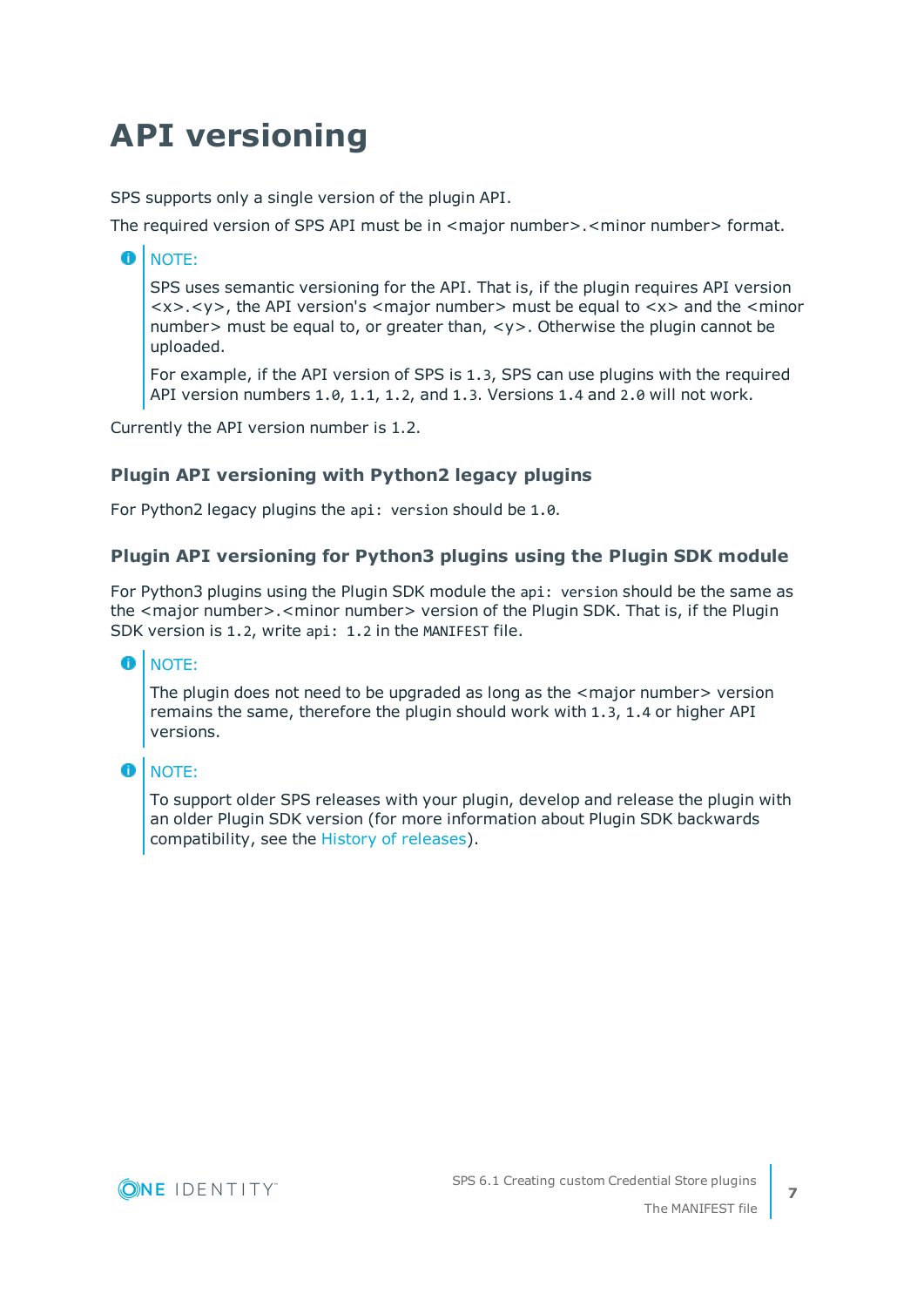## <span id="page-6-0"></span>**API versioning**

SPS supports only a single version of the plugin API.

The required version of SPS API must be in <major number>.<minor number> format.

#### Œ NOTE:

SPS uses semantic versioning for the API. That is, if the plugin requires API version  $\langle x \rangle$ , the API version's  $\langle x \rangle$  number  $\langle x \rangle$  must be equal to  $\langle x \rangle$  and the  $\langle x \rangle$  minor number> must be equal to, or greater than, <y>. Otherwise the plugin cannot be uploaded.

For example, if the API version of SPS is 1.3, SPS can use plugins with the required API version numbers 1.0, 1.1, 1.2, and 1.3. Versions 1.4 and 2.0 will not work.

Currently the API version number is 1.2.

### **Plugin API versioning with Python2 legacy plugins**

For Python2 legacy plugins the api: version should be 1.0.

#### **Plugin API versioning for Python3 plugins using the Plugin SDK module**

For Python3 plugins using the Plugin SDK module the api: version should be the same as the <major number>.<minor number> version of the Plugin SDK. That is, if the Plugin SDK version is 1.2, write api: 1.2 in the MANIFEST file.

#### **O** | NOTE:

The plugin does not need to be upgraded as long as the  $\leq$  major number $\geq$  version remains the same, therefore the plugin should work with 1.3, 1.4 or higher API versions.

#### **O** NOTE:

To support older SPS releases with your plugin, develop and release the plugin with an older Plugin SDK version (for more information about Plugin SDK backwards compatibility, see the History of [releases\)](https://oneidentity.github.io/safeguard-sessions-plugin-sdk/latest/history.html).

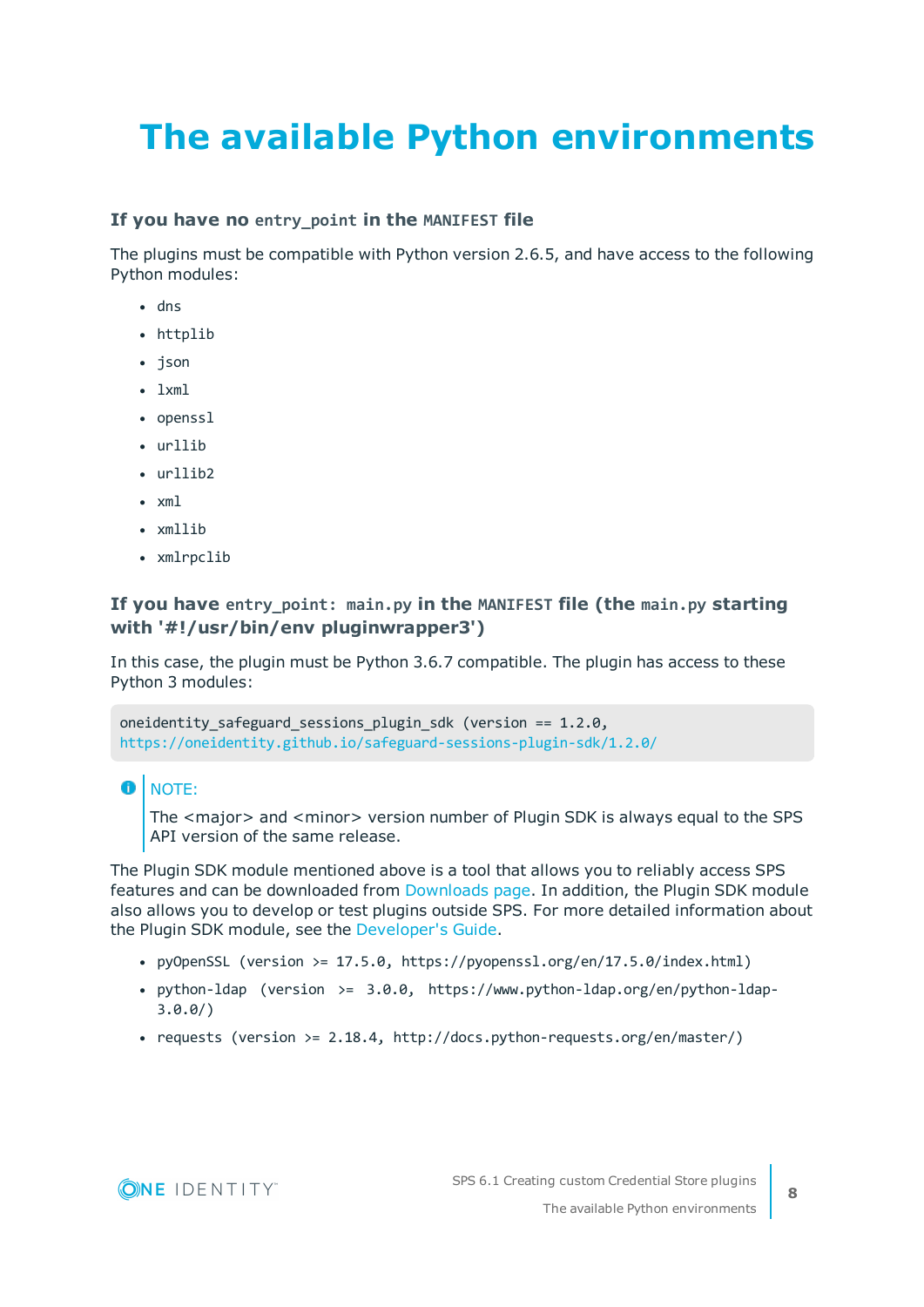# <span id="page-7-0"></span>**The available Python environments**

#### **If you have no entry\_point in the MANIFEST file**

The plugins must be compatible with Python version 2.6.5, and have access to the following Python modules:

- $\cdot$  dns
- httplib
- json
- $\cdot$  lxml
- openssl
- $\cdot$  urllib
- $\cdot$  urllib?
- $\cdot$  xml
- $\cdot$  xmllib
- xmlrpclib

#### **If you have entry\_point: main.py in the MANIFEST file (the main.py starting with '#!/usr/bin/env pluginwrapper3')**

In this case, the plugin must be Python 3.6.7 compatible. The plugin has access to these Python 3 modules:

```
oneidentity_safeguard_sessions_plugin_sdk (version == 1.2.0,
https://oneidentity.github.io/safeguard-sessions-plugin-sdk/1.2.0/
```
6 NOTE:

> The <major> and <minor> version number of Plugin SDK is always equal to the SPS API version of the same release.

The Plugin SDK module mentioned above is a tool that allows you to reliably access SPS features and can be downloaded from [Downloads](https://support.oneidentity.com/my-downloads) page. In addition, the Plugin SDK module also allows you to develop or test plugins outside SPS. For more detailed information about the Plugin SDK module, see the [Developer's](https://oneidentity.github.io/safeguard-sessions-plugin-sdk/1.2.0/index.html) Guide.

- pyOpenSSL (version >=  $17.5.0$ , https://pyopenssl.org/en/17.5.0/index.html)
- python-ldap (version >= 3.0.0, https://www.python-ldap.org/en/python-ldap-3.0.0/)
- requests (version >= 2.18.4, http://docs.python-requests.org/en/master/)

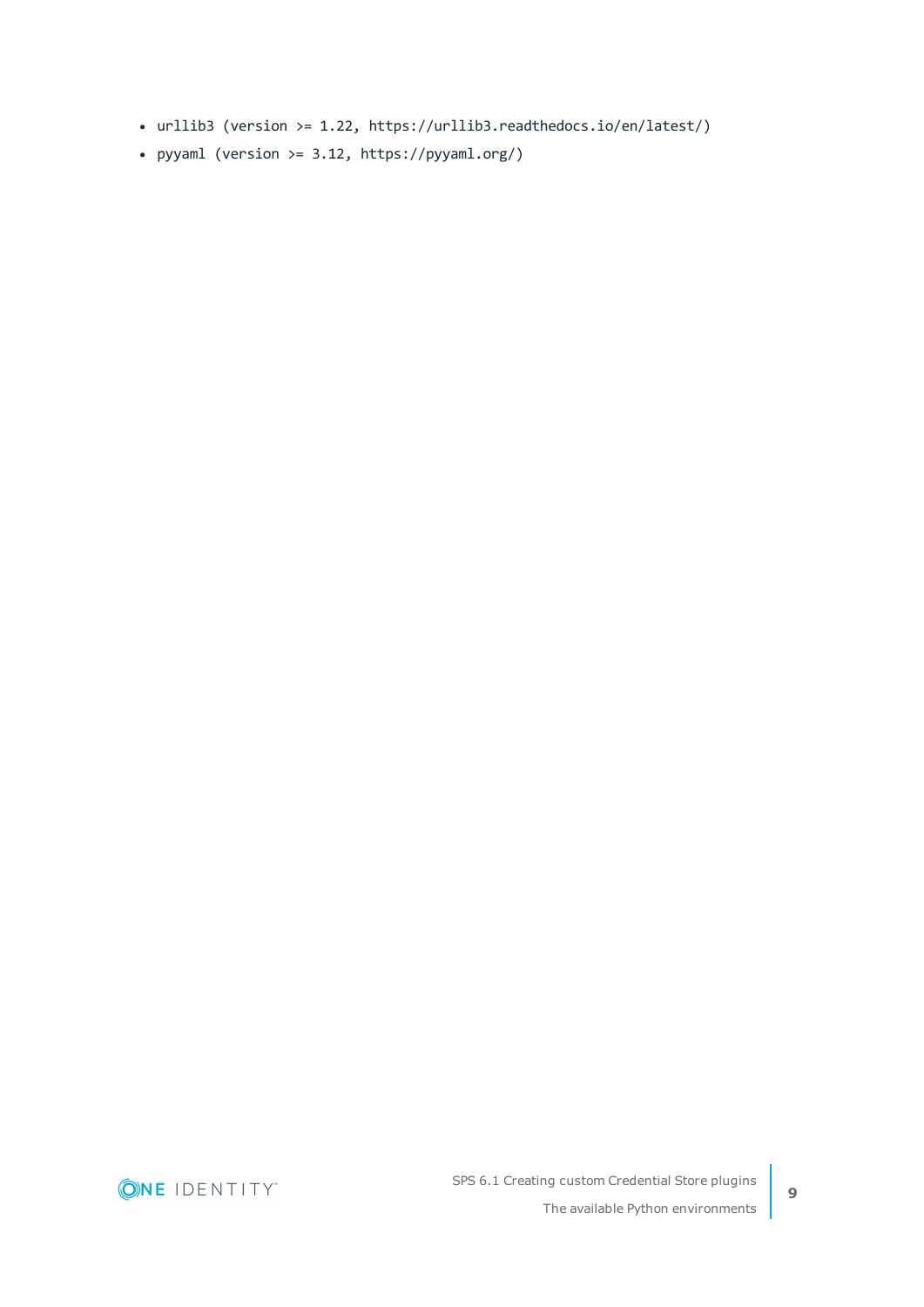- urllib3 (version >= 1.22, https://urllib3.readthedocs.io/en/latest/)
- pyyaml (version  $>= 3.12$ , https://pyyaml.org/)

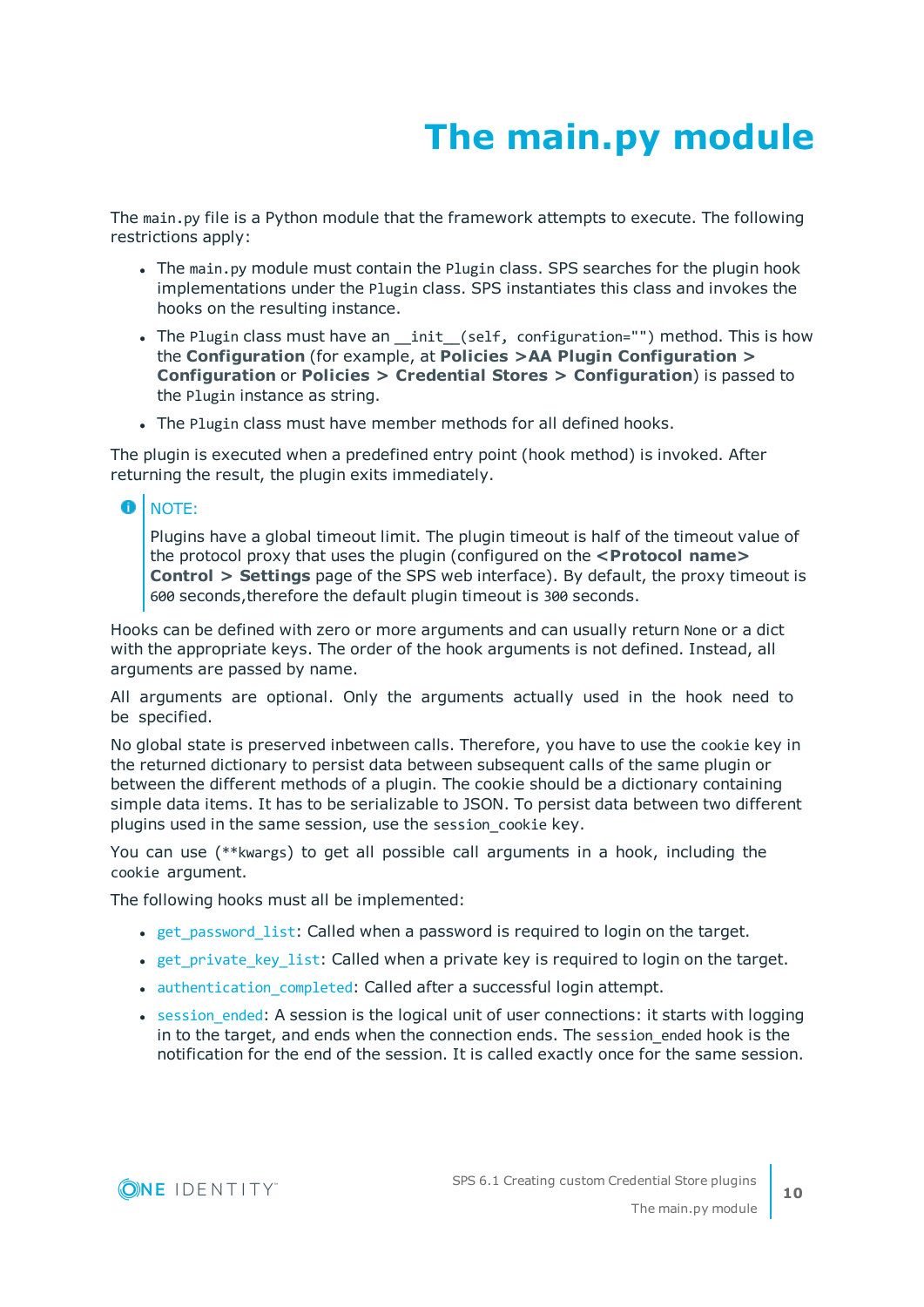## **The main.py module**

<span id="page-9-0"></span>The main.py file is a Python module that the framework attempts to execute. The following restrictions apply:

- The main.py module must contain the Plugin class. SPS searches for the plugin hook implementations under the Plugin class. SPS instantiates this class and invokes the hooks on the resulting instance.
- The Plugin class must have an \_init\_(self, configuration="") method. This is how the **Configuration** (for example, at **Policies >AA Plugin Configuration > Configuration** or **Policies > Credential Stores > Configuration**) is passed to the Plugin instance as string.
- The Plugin class must have member methods for all defined hooks.

The plugin is executed when a predefined entry point (hook method) is invoked. After returning the result, the plugin exits immediately.

#### **O** NOTE:

Plugins have a global timeout limit. The plugin timeout is half of the timeout value of the protocol proxy that uses the plugin (configured on the **<Protocol name> Control > Settings** page of the SPS web interface). By default, the proxy timeout is 600 seconds,therefore the default plugin timeout is 300 seconds.

Hooks can be defined with zero or more arguments and can usually return None or a dict with the appropriate keys. The order of the hook arguments is not defined. Instead, all arguments are passed by name.

All arguments are optional. Only the arguments actually used in the hook need to be specified.

No global state is preserved inbetween calls. Therefore, you have to use the cookie key in the returned dictionary to persist data between subsequent calls of the same plugin or between the different methods of a plugin. The cookie should be a dictionary containing simple data items. It has to be serializable to JSON. To persist data between two different plugins used in the same session, use the session cookie key.

You can use (\*\*kwargs) to get all possible call arguments in a hook, including the cookie argument.

The following hooks must all be implemented:

- $\bullet$  get password list: Called when a password is required to login on the target.
- get private key list: Called when a private key is required to login on the target.
- [authentication\\_completed](#page-15-0): Called after a successful login attempt.
- session ended: A session is the logical unit of user connections: it starts with logging in to the target, and ends when the connection ends. The session ended hook is the notification for the end of the session. It is called exactly once for the same session.

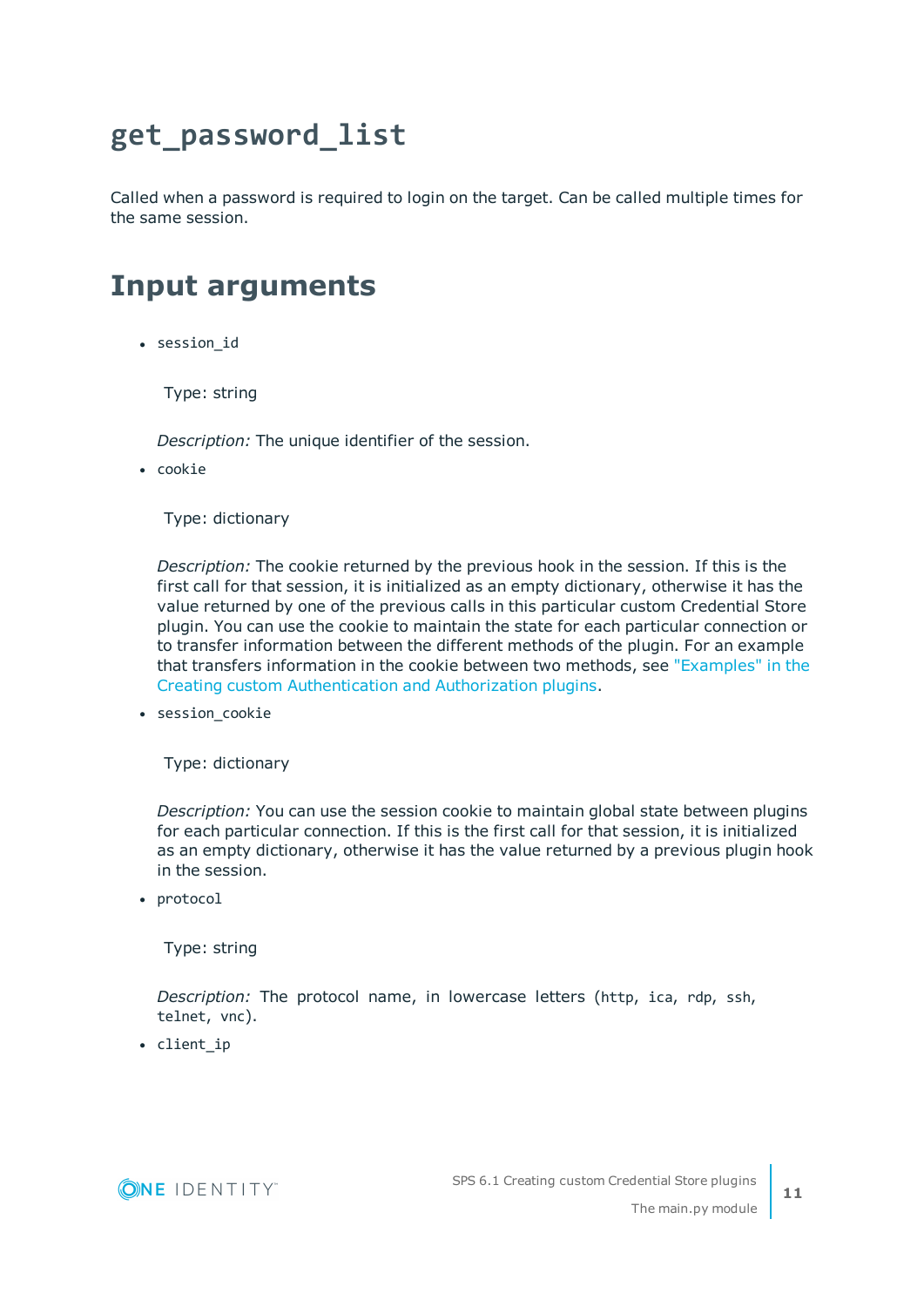### <span id="page-10-0"></span>**get\_password\_list**

Called when a password is required to login on the target. Can be called multiple times for the same session.

### <span id="page-10-1"></span>**Input arguments**

• session id

Type: string

*Description:* The unique identifier of the session.

• cookie

Type: dictionary

*Description:* The cookie returned by the previous hook in the session. If this is the first call for that session, it is initialized as an empty dictionary, otherwise it has the value returned by one of the previous calls in this particular custom Credential Store plugin. You can use the cookie to maintain the state for each particular connection or to transfer information between the different methods of the plugin. For an example that transfers information in the cookie between two methods, see ["Examples"](https://support.oneidentity.com/technical-documents/safeguard-for-privileged-sessions/6.1.0/creating-custom-authentication-and-authorization-plugins/the-main.py-module/examples/) in the Creating custom [Authentication](https://support.oneidentity.com/technical-documents/safeguard-for-privileged-sessions/6.1.0/creating-custom-authentication-and-authorization-plugins/the-main.py-module/examples/) and Authorization plugins.

• session\_cookie

Type: dictionary

*Description:* You can use the session cookie to maintain global state between plugins for each particular connection. If this is the first call for that session, it is initialized as an empty dictionary, otherwise it has the value returned by a previous plugin hook in the session.

• protocol

Type: string

*Description:* The protocol name, in lowercase letters (http, ica, rdp, ssh, telnet, vnc).

• client\_ip

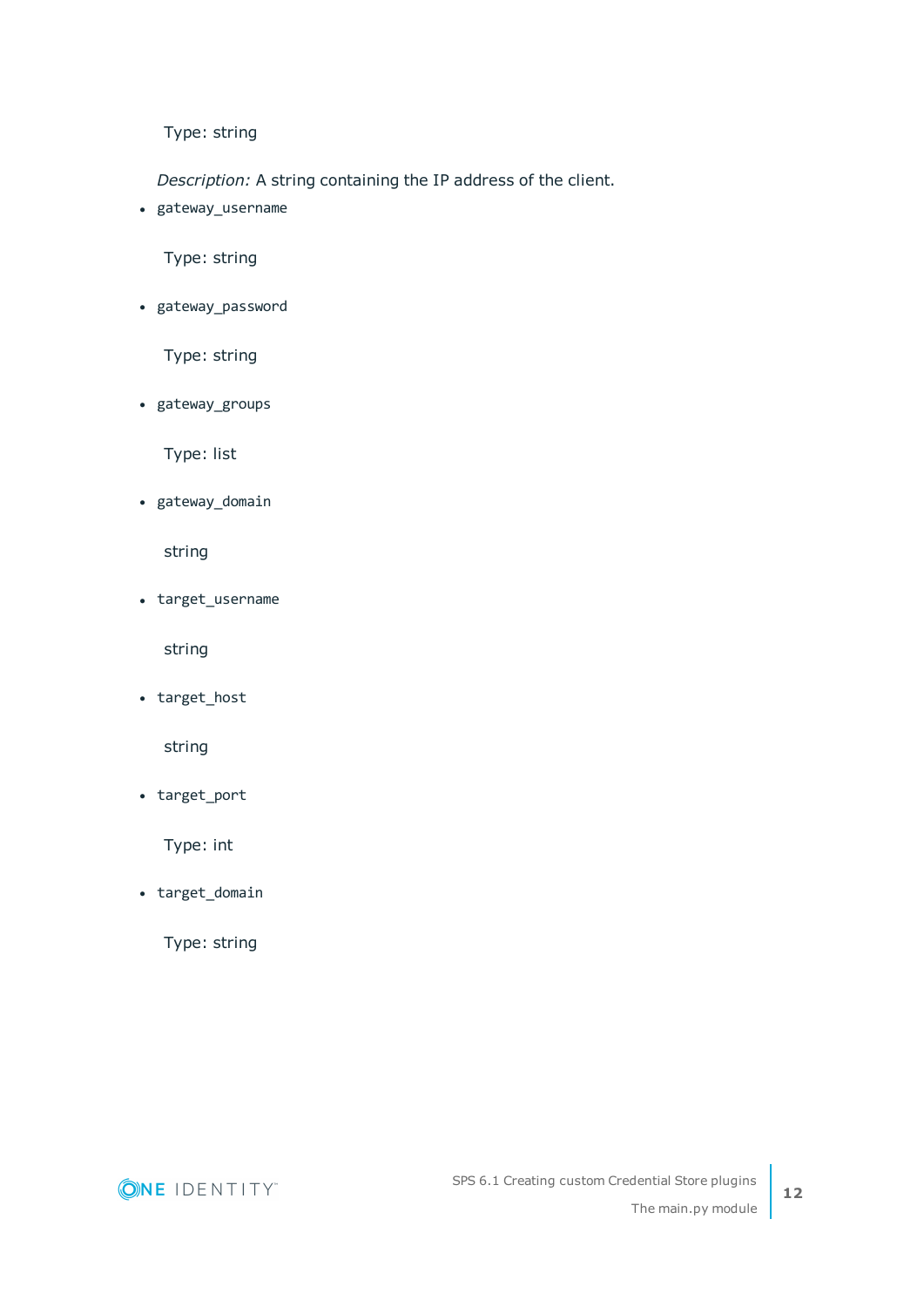Type: string

*Description:* A string containing the IP address of the client.

• gateway\_username

Type: string

• gateway\_password

Type: string

• gateway\_groups

Type: list

• gateway\_domain

string

• target\_username

string

• target\_host

string

• target\_port

Type: int

• target\_domain

Type: string

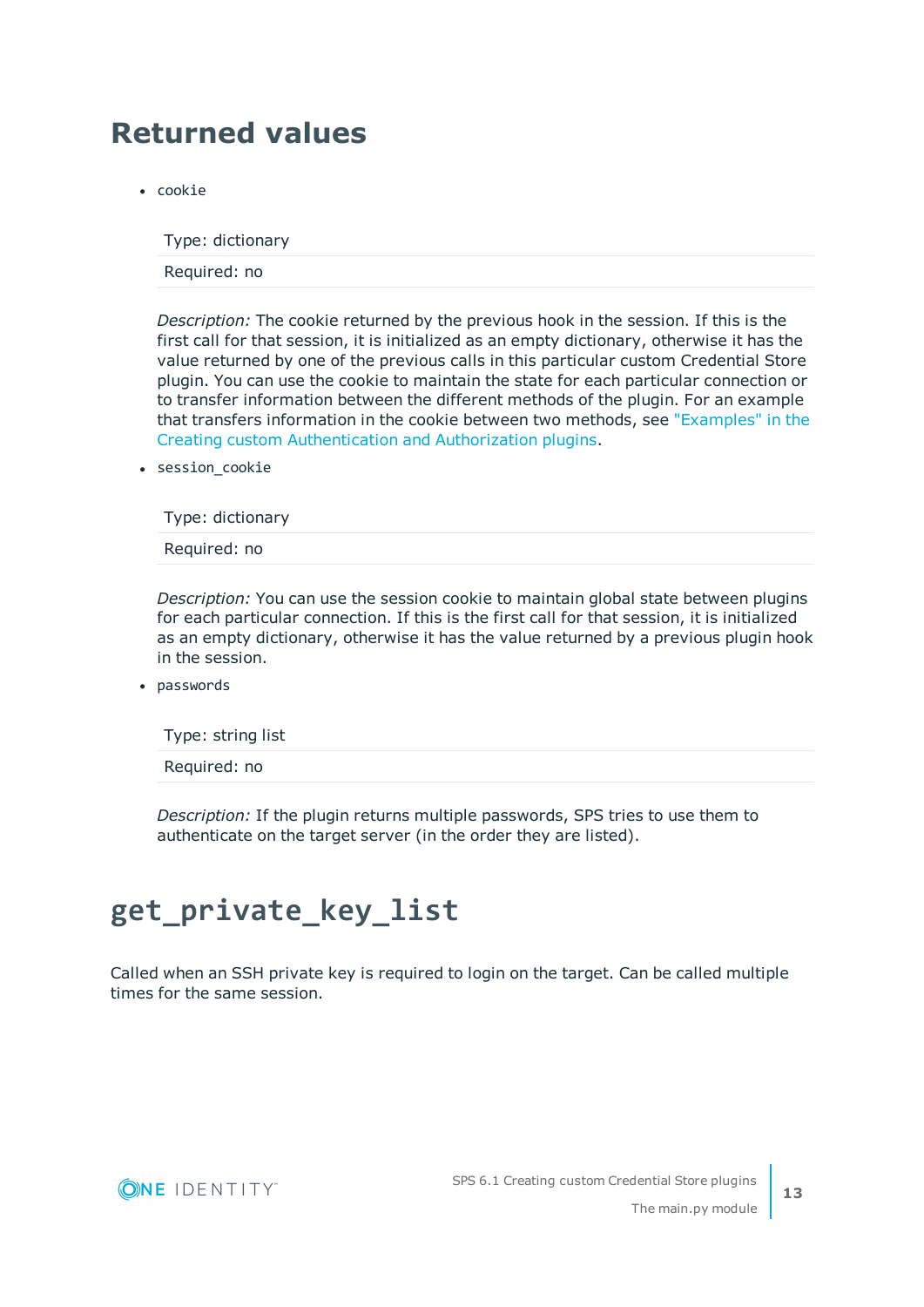### <span id="page-12-0"></span>**Returned values**

• cookie

Type: dictionary

Required: no

*Description:* The cookie returned by the previous hook in the session. If this is the first call for that session, it is initialized as an empty dictionary, otherwise it has the value returned by one of the previous calls in this particular custom Credential Store plugin. You can use the cookie to maintain the state for each particular connection or to transfer information between the different methods of the plugin. For an example that transfers information in the cookie between two methods, see ["Examples"](https://support.oneidentity.com/technical-documents/safeguard-for-privileged-sessions/6.1.0/creating-custom-authentication-and-authorization-plugins/the-main.py-module/examples/) in the Creating custom [Authentication](https://support.oneidentity.com/technical-documents/safeguard-for-privileged-sessions/6.1.0/creating-custom-authentication-and-authorization-plugins/the-main.py-module/examples/) and Authorization plugins.

• session cookie

Type: dictionary

Required: no

*Description:* You can use the session cookie to maintain global state between plugins for each particular connection. If this is the first call for that session, it is initialized as an empty dictionary, otherwise it has the value returned by a previous plugin hook in the session.

• passwords

Type: string list

Required: no

*Description:* If the plugin returns multiple passwords, SPS tries to use them to authenticate on the target server (in the order they are listed).

### <span id="page-12-1"></span>**get\_private\_key\_list**

Called when an SSH private key is required to login on the target. Can be called multiple times for the same session.

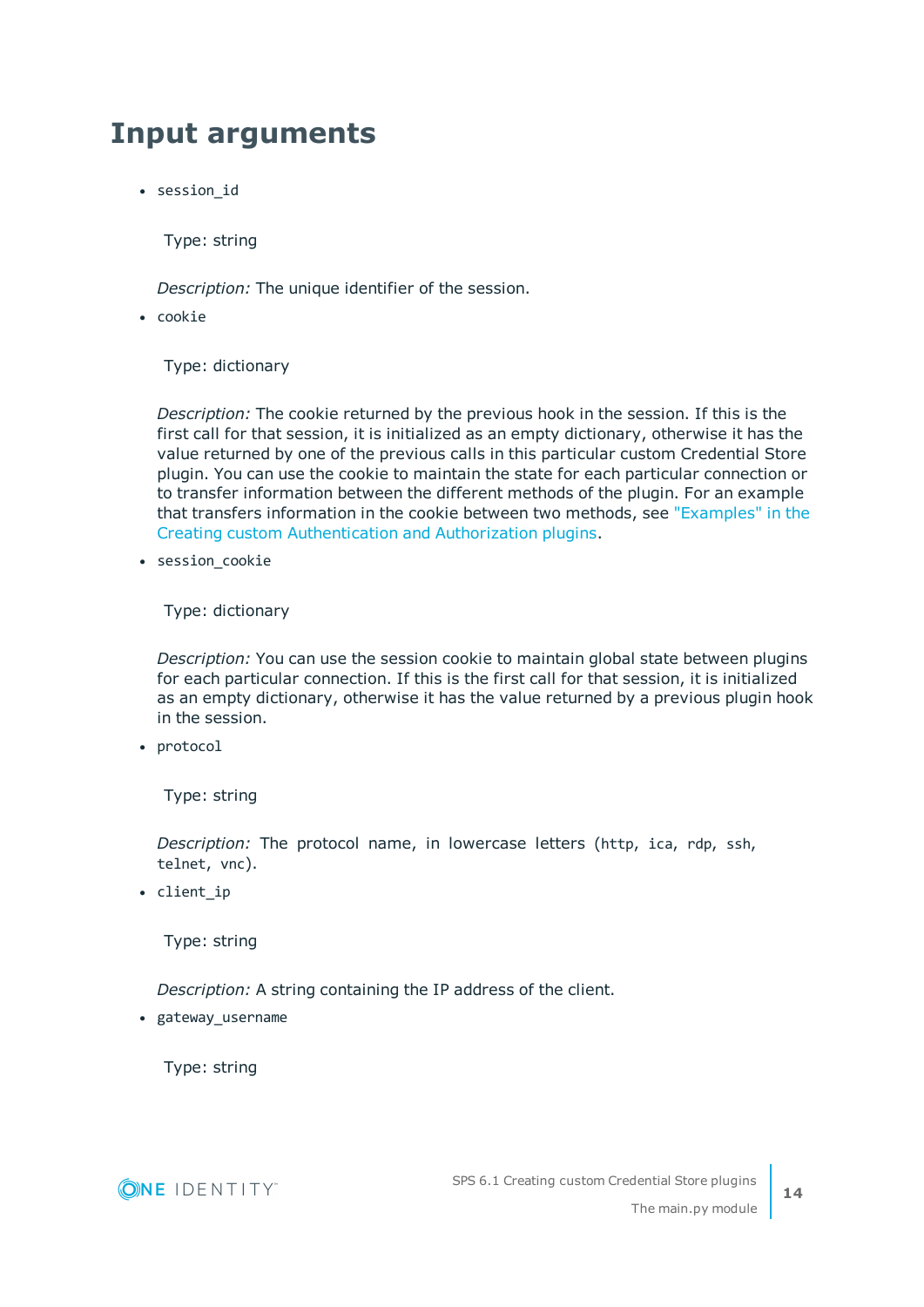### <span id="page-13-0"></span>**Input arguments**

• session id

Type: string

*Description:* The unique identifier of the session.

 $\cdot$  cookie

Type: dictionary

*Description:* The cookie returned by the previous hook in the session. If this is the first call for that session, it is initialized as an empty dictionary, otherwise it has the value returned by one of the previous calls in this particular custom Credential Store plugin. You can use the cookie to maintain the state for each particular connection or to transfer information between the different methods of the plugin. For an example that transfers information in the cookie between two methods, see ["Examples"](https://support.oneidentity.com/technical-documents/safeguard-for-privileged-sessions/6.1.0/creating-custom-authentication-and-authorization-plugins/the-main.py-module/examples/) in the Creating custom [Authentication](https://support.oneidentity.com/technical-documents/safeguard-for-privileged-sessions/6.1.0/creating-custom-authentication-and-authorization-plugins/the-main.py-module/examples/) and Authorization plugins.

• session cookie

Type: dictionary

*Description:* You can use the session cookie to maintain global state between plugins for each particular connection. If this is the first call for that session, it is initialized as an empty dictionary, otherwise it has the value returned by a previous plugin hook in the session.

• protocol

Type: string

*Description:* The protocol name, in lowercase letters (http, ica, rdp, ssh, telnet, vnc).

• client ip

Type: string

*Description:* A string containing the IP address of the client.

• gateway\_username

Type: string

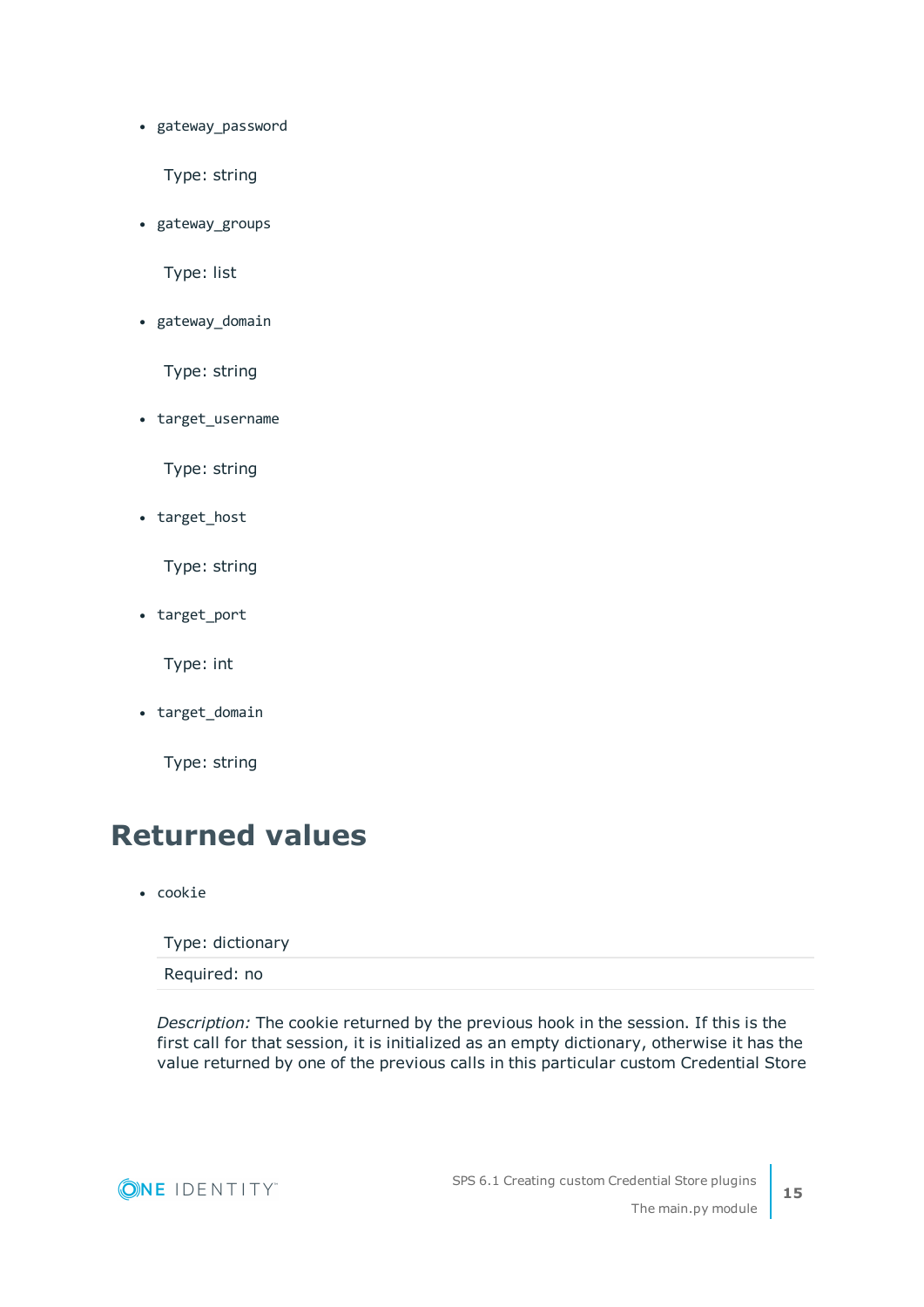• gateway\_password

Type: string

• gateway\_groups

Type: list

• gateway\_domain

Type: string

• target\_username

Type: string

• target\_host

Type: string

• target\_port

Type: int

• target\_domain

Type: string

### <span id="page-14-0"></span>**Returned values**

• cookie

Type: dictionary

Required: no

*Description:* The cookie returned by the previous hook in the session. If this is the first call for that session, it is initialized as an empty dictionary, otherwise it has the value returned by one of the previous calls in this particular custom Credential Store

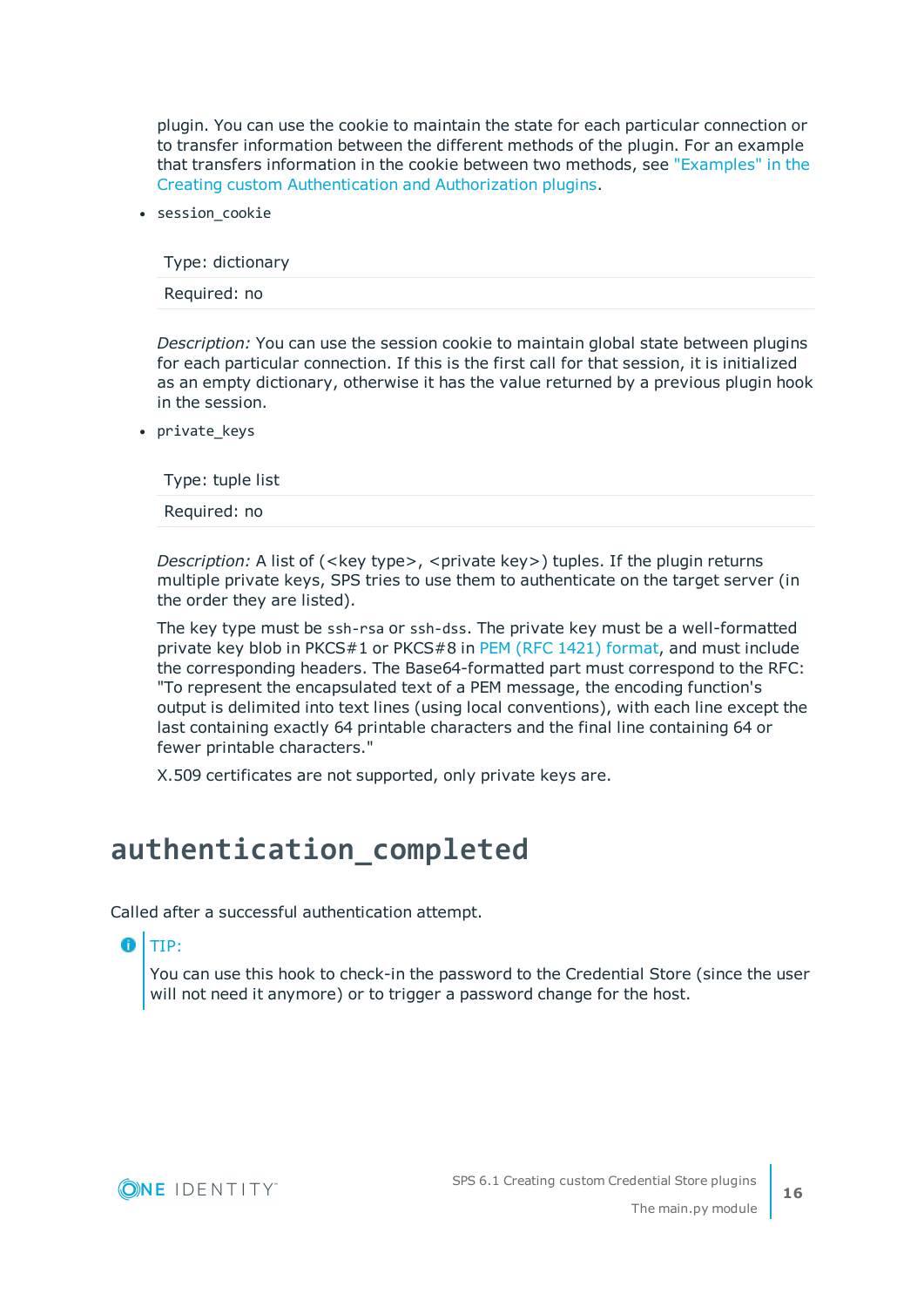plugin. You can use the cookie to maintain the state for each particular connection or to transfer information between the different methods of the plugin. For an example that transfers information in the cookie between two methods, see ["Examples"](https://support.oneidentity.com/technical-documents/safeguard-for-privileged-sessions/6.1.0/creating-custom-authentication-and-authorization-plugins/the-main.py-module/examples/) in the Creating custom [Authentication](https://support.oneidentity.com/technical-documents/safeguard-for-privileged-sessions/6.1.0/creating-custom-authentication-and-authorization-plugins/the-main.py-module/examples/) and Authorization plugins.

• session cookie

Type: dictionary

Required: no

*Description:* You can use the session cookie to maintain global state between plugins for each particular connection. If this is the first call for that session, it is initialized as an empty dictionary, otherwise it has the value returned by a previous plugin hook in the session.

• private keys

Type: tuple list

Required: no

*Description:* A list of (<key type>, <private key>) tuples. If the plugin returns multiple private keys, SPS tries to use them to authenticate on the target server (in the order they are listed).

The key type must be ssh-rsa or ssh-dss. The private key must be a well-formatted private key blob in PKCS#1 or PKCS#8 in PEM (RFC 1421) [format](https://tools.ietf.org/html/rfc1421), and must include the corresponding headers. The Base64-formatted part must correspond to the RFC: "To represent the encapsulated text of a PEM message, the encoding function's output is delimited into text lines (using local conventions), with each line except the last containing exactly 64 printable characters and the final line containing 64 or fewer printable characters."

X.509 certificates are not supported, only private keys are.

### <span id="page-15-0"></span>**authentication\_completed**

Called after a successful authentication attempt.

#### 6 TIP:

You can use this hook to check-in the password to the Credential Store (since the user will not need it anymore) or to trigger a password change for the host.

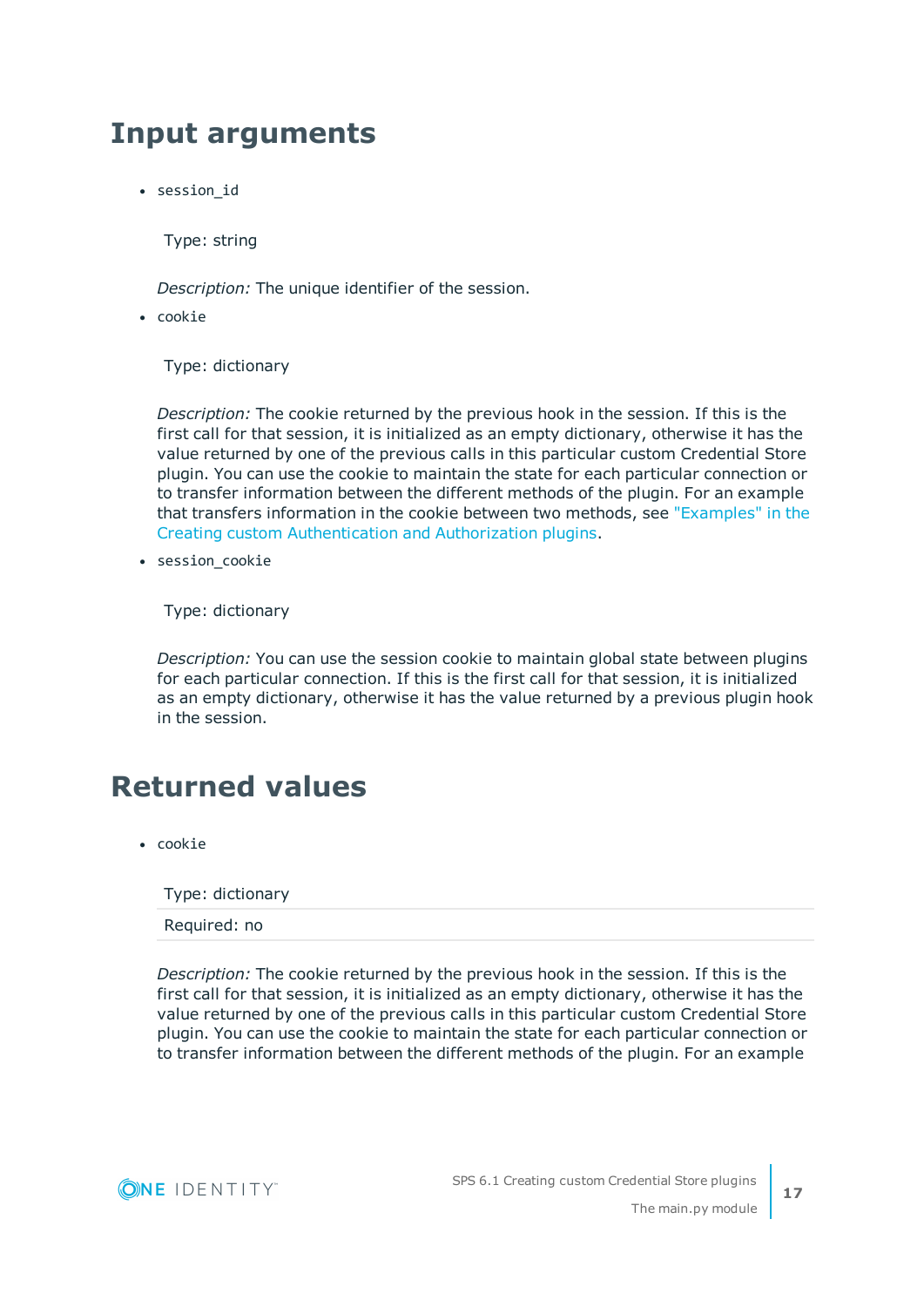### <span id="page-16-0"></span>**Input arguments**

• session id

Type: string

*Description:* The unique identifier of the session.

 $\cdot$  cookie

Type: dictionary

*Description:* The cookie returned by the previous hook in the session. If this is the first call for that session, it is initialized as an empty dictionary, otherwise it has the value returned by one of the previous calls in this particular custom Credential Store plugin. You can use the cookie to maintain the state for each particular connection or to transfer information between the different methods of the plugin. For an example that transfers information in the cookie between two methods, see ["Examples"](https://support.oneidentity.com/technical-documents/safeguard-for-privileged-sessions/6.1.0/creating-custom-authentication-and-authorization-plugins/the-main.py-module/examples/) in the Creating custom [Authentication](https://support.oneidentity.com/technical-documents/safeguard-for-privileged-sessions/6.1.0/creating-custom-authentication-and-authorization-plugins/the-main.py-module/examples/) and Authorization plugins.

• session cookie

Type: dictionary

*Description:* You can use the session cookie to maintain global state between plugins for each particular connection. If this is the first call for that session, it is initialized as an empty dictionary, otherwise it has the value returned by a previous plugin hook in the session.

### <span id="page-16-1"></span>**Returned values**

• cookie

Type: dictionary

Required: no

*Description:* The cookie returned by the previous hook in the session. If this is the first call for that session, it is initialized as an empty dictionary, otherwise it has the value returned by one of the previous calls in this particular custom Credential Store plugin. You can use the cookie to maintain the state for each particular connection or to transfer information between the different methods of the plugin. For an example



**17**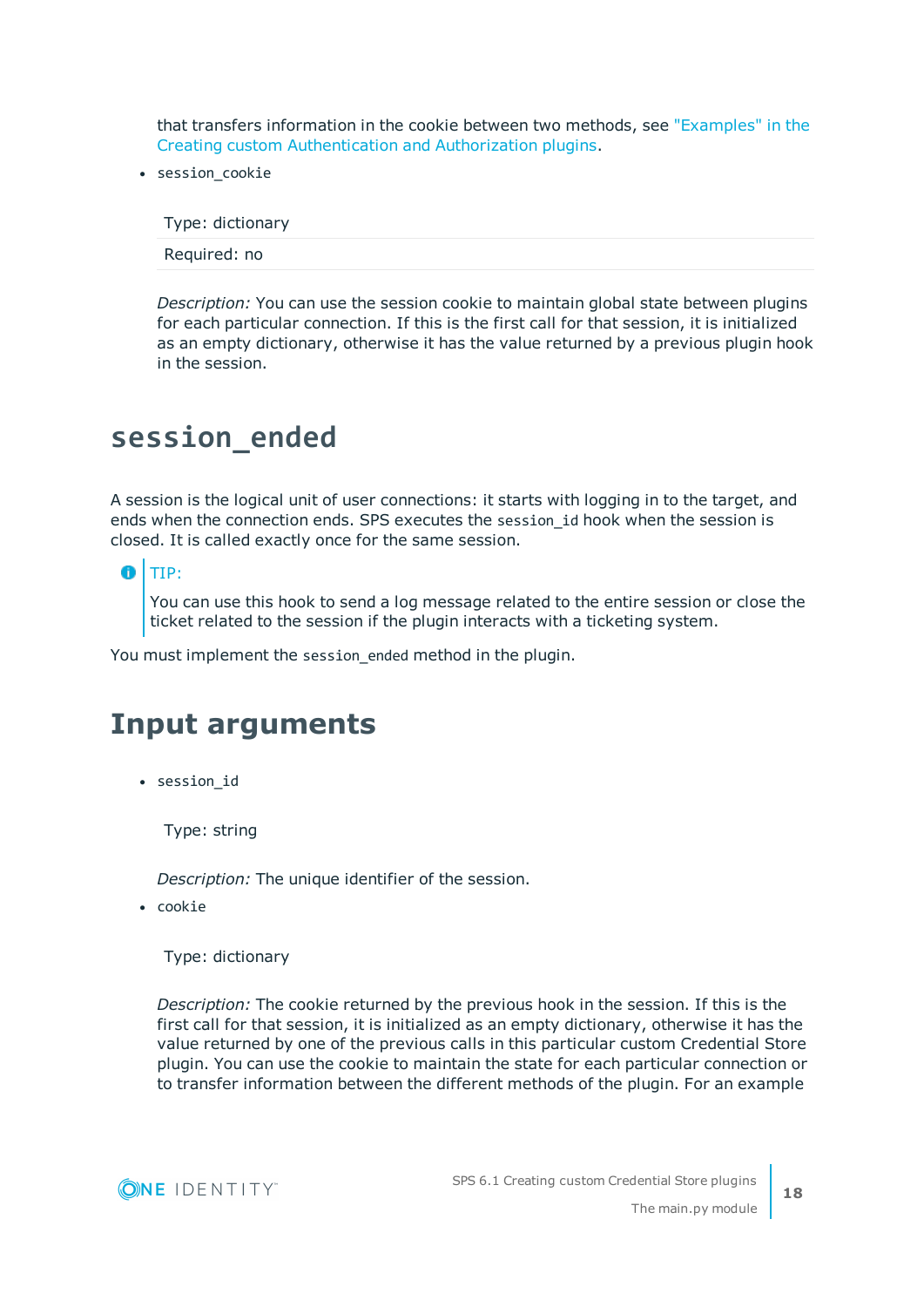that transfers information in the cookie between two methods, see ["Examples"](https://support.oneidentity.com/technical-documents/safeguard-for-privileged-sessions/6.1.0/creating-custom-authentication-and-authorization-plugins/the-main.py-module/examples/) in the Creating custom [Authentication](https://support.oneidentity.com/technical-documents/safeguard-for-privileged-sessions/6.1.0/creating-custom-authentication-and-authorization-plugins/the-main.py-module/examples/) and Authorization plugins.

• session cookie

Type: dictionary

Required: no

*Description:* You can use the session cookie to maintain global state between plugins for each particular connection. If this is the first call for that session, it is initialized as an empty dictionary, otherwise it has the value returned by a previous plugin hook in the session.

### <span id="page-17-0"></span>**session\_ended**

A session is the logical unit of user connections: it starts with logging in to the target, and ends when the connection ends. SPS executes the session id hook when the session is closed. It is called exactly once for the same session.

6 TIP:

> You can use this hook to send a log message related to the entire session or close the ticket related to the session if the plugin interacts with a ticketing system.

<span id="page-17-1"></span>You must implement the session ended method in the plugin.

### **Input arguments**

• session\_id

Type: string

*Description:* The unique identifier of the session.

• cookie

Type: dictionary

*Description:* The cookie returned by the previous hook in the session. If this is the first call for that session, it is initialized as an empty dictionary, otherwise it has the value returned by one of the previous calls in this particular custom Credential Store plugin. You can use the cookie to maintain the state for each particular connection or to transfer information between the different methods of the plugin. For an example

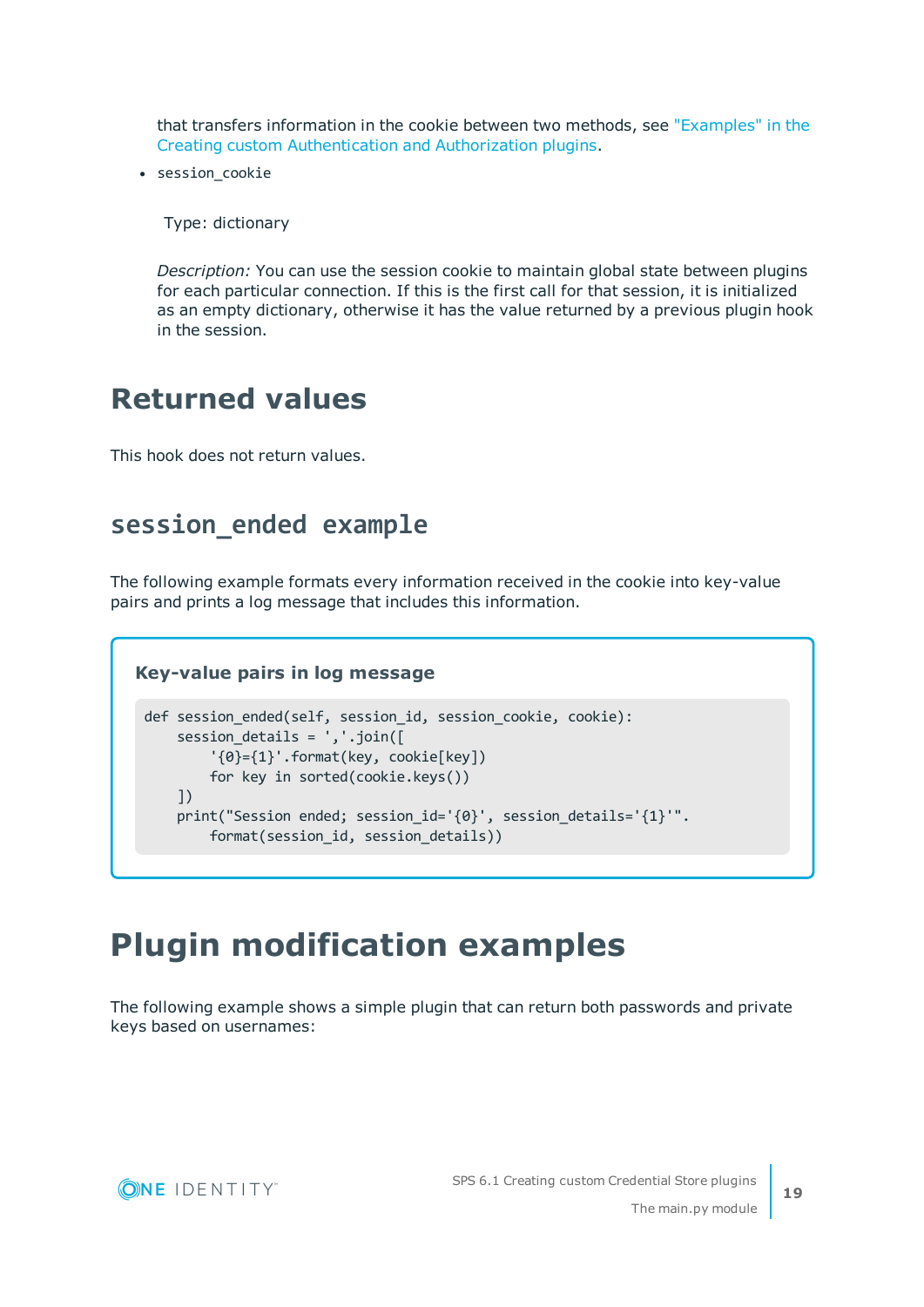that transfers information in the cookie between two methods, see ["Examples"](https://support.oneidentity.com/technical-documents/safeguard-for-privileged-sessions/6.1.0/creating-custom-authentication-and-authorization-plugins/the-main.py-module/examples/) in the Creating custom [Authentication](https://support.oneidentity.com/technical-documents/safeguard-for-privileged-sessions/6.1.0/creating-custom-authentication-and-authorization-plugins/the-main.py-module/examples/) and Authorization plugins.

• session cookie

Type: dictionary

*Description:* You can use the session cookie to maintain global state between plugins for each particular connection. If this is the first call for that session, it is initialized as an empty dictionary, otherwise it has the value returned by a previous plugin hook in the session.

### <span id="page-18-0"></span>**Returned values**

<span id="page-18-1"></span>This hook does not return values.

### **session\_ended example**

The following example formats every information received in the cookie into key-value pairs and prints a log message that includes this information.

#### **Key-value pairs in log message**

```
def session_ended(self, session_id, session_cookie, cookie):
   session_details = ','.join([
        '\{0\}=\{1\}'.format(key, cookie[key])
       for key in sorted(cookie.keys())
    ])
   print("Session ended; session_id='{0}', session_details='{1}'".
        format(session_id, session_details))
```
### <span id="page-18-2"></span>**Plugin modification examples**

The following example shows a simple plugin that can return both passwords and private keys based on usernames:

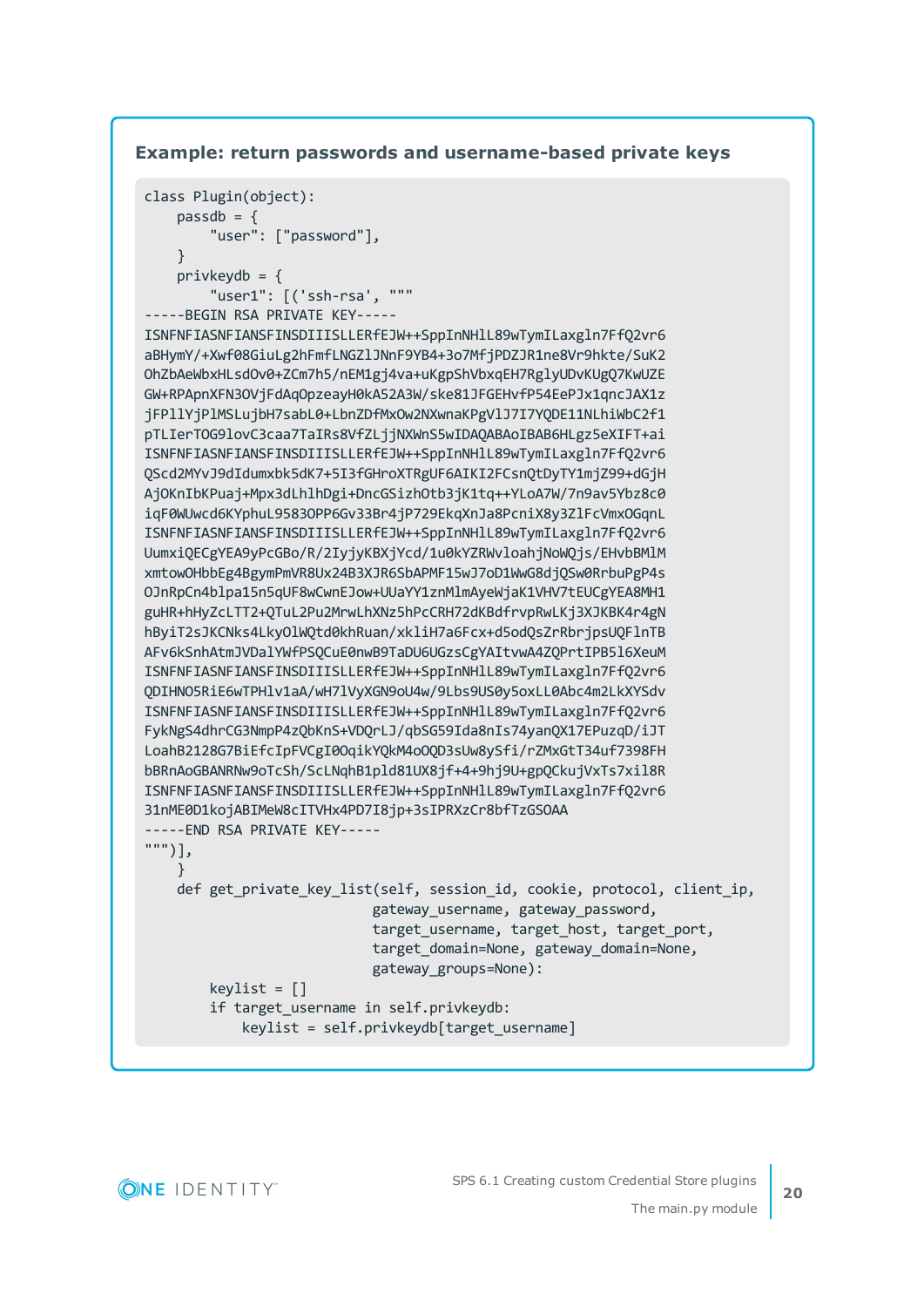#### **Example: return passwords and username-based private keys**

```
class Plugin(object):
   passdb = f"user": ["password"],
   }
   privkeydb = {
        "user1": [('ssh-rsa', """
-----BEGIN RSA PRIVATE KEY-----
```

```
ISNFNFIASNFIANSFINSDIIISLLERfEJW++SppInNHlL89wTymILaxgln7FfQ2vr6
aBHymY/+Xwf08GiuLg2hFmfLNGZlJNnF9YB4+3o7MfjPDZJR1ne8Vr9hkte/SuK2
OhZbAeWbxHLsdOv0+ZCm7h5/nEM1gj4va+uKgpShVbxqEH7RglyUDvKUgQ7KwUZE
GW+RPApnXFN3OVjFdAqOpzeayH0kA52A3W/ske81JFGEHvfP54EePJx1qncJAX1z
jFPllYjPlMSLujbH7sabL0+LbnZDfMxOw2NXwnaKPgVlJ7I7YQDE11NLhiWbC2f1
pTLIerTOG9lovC3caa7TaIRs8VfZLjjNXWnS5wIDAQABAoIBAB6HLgz5eXIFT+ai
ISNFNFIASNFIANSFINSDIIISLLERfEJW++SppInNHlL89wTymILaxgln7FfQ2vr6
QScd2MYvJ9dIdumxbk5dK7+5I3fGHroXTRgUF6AIKI2FCsnQtDyTY1mjZ99+dGjH
AjOKnIbKPuaj+Mpx3dLhlhDgi+DncGSizhOtb3jK1tq++YLoA7W/7n9av5Ybz8c0
iqF0WUwcd6KYphuL9583OPP6Gv33Br4jP729EkqXnJa8PcniX8y3ZlFcVmxOGqnL
ISNFNFIASNFIANSFINSDIIISLLERfEJW++SppInNHlL89wTymILaxgln7FfQ2vr6
UumxiQECgYEA9yPcGBo/R/2IyjyKBXjYcd/1u0kYZRWvloahjNoWQjs/EHvbBMlM
xmtowOHbbEg4BgymPmVR8Ux24B3XJR6SbAPMF15wJ7oD1WwG8djQSw0RrbuPgP4s
OJnRpCn4blpa15n5qUF8wCwnEJow+UUaYY1znMlmAyeWjaK1VHV7tEUCgYEA8MH1
guHR+hHyZcLTT2+QTuL2Pu2MrwLhXNz5hPcCRH72dKBdfrvpRwLKj3XJKBK4r4gN
hByiT2sJKCNks4LkyOlWQtd0khRuan/xkliH7a6Fcx+d5odQsZrRbrjpsUQFlnTB
AFv6kSnhAtmJVDalYWfPSQCuE0nwB9TaDU6UGzsCgYAItvwA4ZQPrtIPB5l6XeuM
ISNFNFIASNFIANSFINSDIIISLLERfEJW++SppInNHlL89wTymILaxgln7FfQ2vr6
QDIHNO5RiE6wTPHlv1aA/wH7lVyXGN9oU4w/9Lbs9US0y5oxLL0Abc4m2LkXYSdv
ISNFNFIASNFIANSFINSDIIISLLERfEJW++SppInNHlL89wTymILaxgln7FfQ2vr6
FykNgS4dhrCG3NmpP4zQbKnS+VDQrLJ/qbSG59Ida8nIs74yanQX17EPuzqD/iJT
LoahB2128G7BiEfcIpFVCgI0OqikYQkM4oOQD3sUw8ySfi/rZMxGtT34uf7398FH
bBRnAoGBANRNw9oTcSh/ScLNqhB1pld81UX8jf+4+9hj9U+gpQCkujVxTs7xil8R
ISNFNFIASNFIANSFINSDIIISLLERfEJW++SppInNHlL89wTymILaxgln7FfQ2vr6
31nME0D1kojABIMeW8cITVHx4PD7I8jp+3sIPRXzCr8bfTzGSOAA
-----END RSA PRIVATE KEY-----
""")],
   }
   def get_private_key_list(self, session_id, cookie, protocol, client_ip,
                            gateway username, gateway password,
                            target_username, target_host, target_port,
                            target_domain=None, gateway_domain=None,
                            gateway_groups=None):
        keylist = []if target_username in self.privkeydb:
            keylist = self.privkeydb[target_username]
```
**ONE IDENTITY**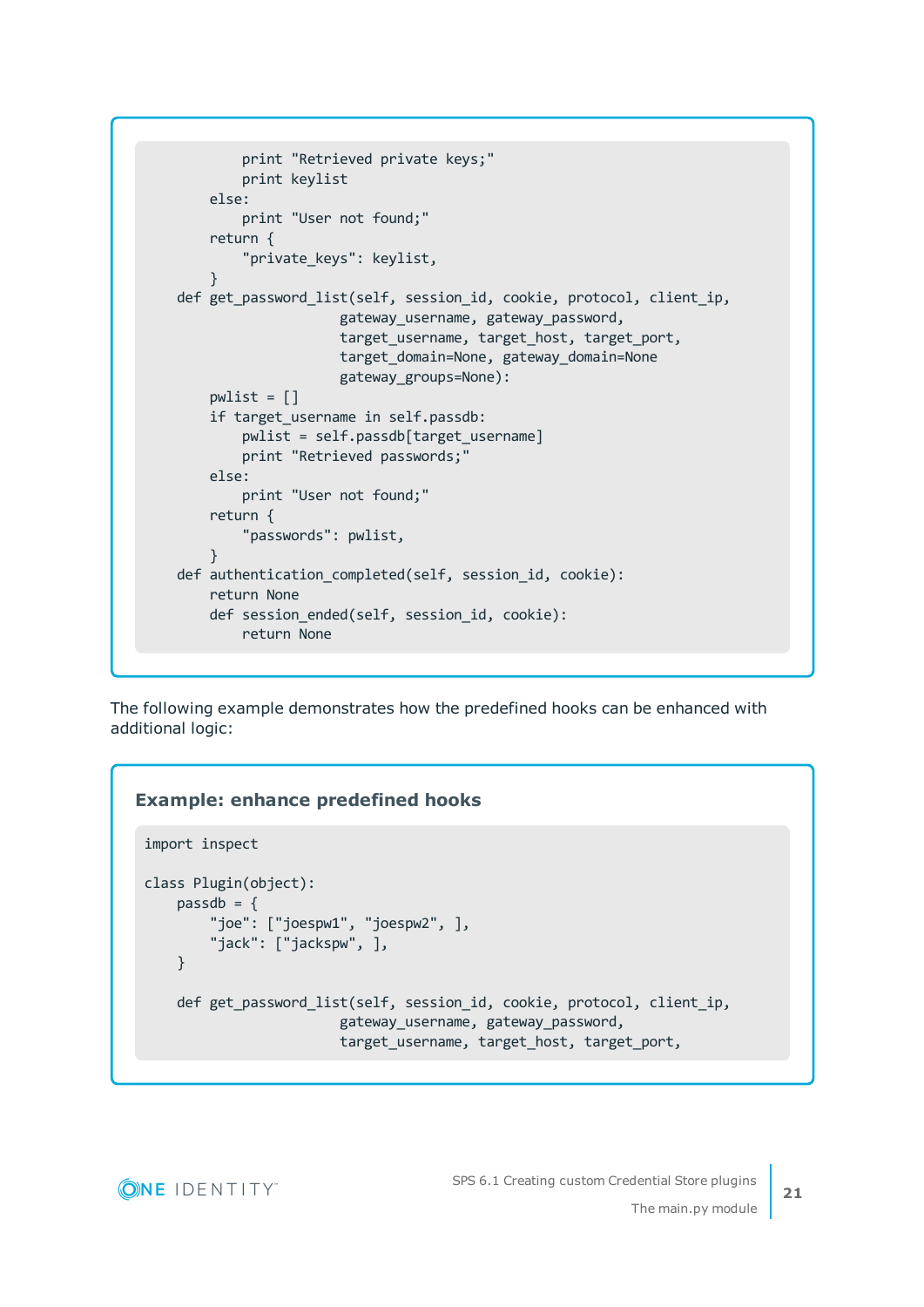```
print "Retrieved private keys;"
        print keylist
    else:
        print "User not found;"
    return {
        "private_keys": keylist,
    }
def get password list(self, session id, cookie, protocol, client ip,
                    gateway username, gateway password,
                    target username, target host, target port,
                    target domain=None, gateway domain=None
                    gateway_groups=None):
    pwlist = []if target username in self.passdb:
        pwlist = self.passdb[target_username]
        print "Retrieved passwords;"
    else:
        print "User not found;"
    return {
        "passwords": pwlist,
    }
def authentication completed(self, session id, cookie):
    return None
   def session ended(self, session id, cookie):
        return None
```
The following example demonstrates how the predefined hooks can be enhanced with additional logic:

#### **Example: enhance predefined hooks**

```
import inspect
class Plugin(object):
   passdb = {"joe": ["joespw1", "joespw2", ],
        "jack": ["jackspw", ],
   }
   def get_password_list(self, session_id, cookie, protocol, client_ip,
                        gateway_username, gateway_password,
                        target_username, target_host, target_port,
```
**ONE IDENTITY**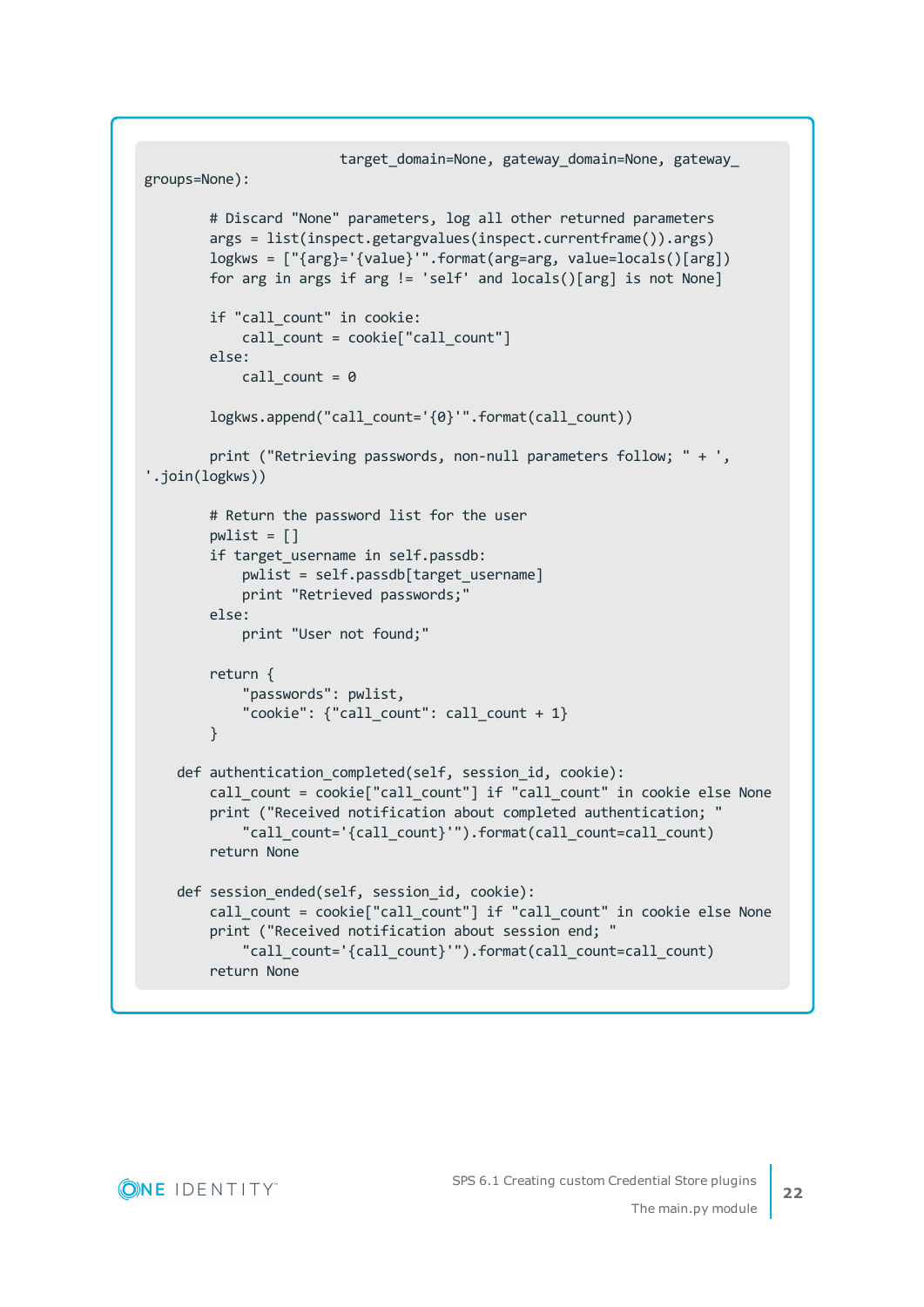```
target_domain=None, gateway_domain=None, gateway_
groups=None):
       # Discard "None" parameters, log all other returned parameters
       args = list(inspect.getargvalues(inspect.currentframe()).args)
       logkws = ["{arg}='{value}'".format(arg=arg, value=locals()[arg])
       for arg in args if arg != 'self' and locals()[arg] is not None]
        if "call_count" in cookie:
           call count = cookie["call count"]
       else:
           call count = 0logkws.append("call_count='{0}'".format(call_count))
       print ("Retrieving passwords, non-null parameters follow; " + ',
'.join(logkws))
       # Return the password list for the user
       pwlist = []if target username in self.passdb:
            pwlist = self.passdb[target_username]
           print "Retrieved passwords;"
       else:
            print "User not found;"
        return {
            "passwords": pwlist,
            "cookie": {"call_count": call_count + 1}
       }
   def authentication_completed(self, session_id, cookie):
        call_count = cookie["call_count"] if "call_count" in cookie else None
        print ("Received notification about completed authentication; "
            "call_count='{call_count}'").format(call_count=call_count)
        return None
   def session ended(self, session id, cookie):
       call_count = cookie["call_count"] if "call_count" in cookie else None
        print ("Received notification about session end; "
            "call_count='{call_count}'").format(call_count=call_count)
        return None
```


**22**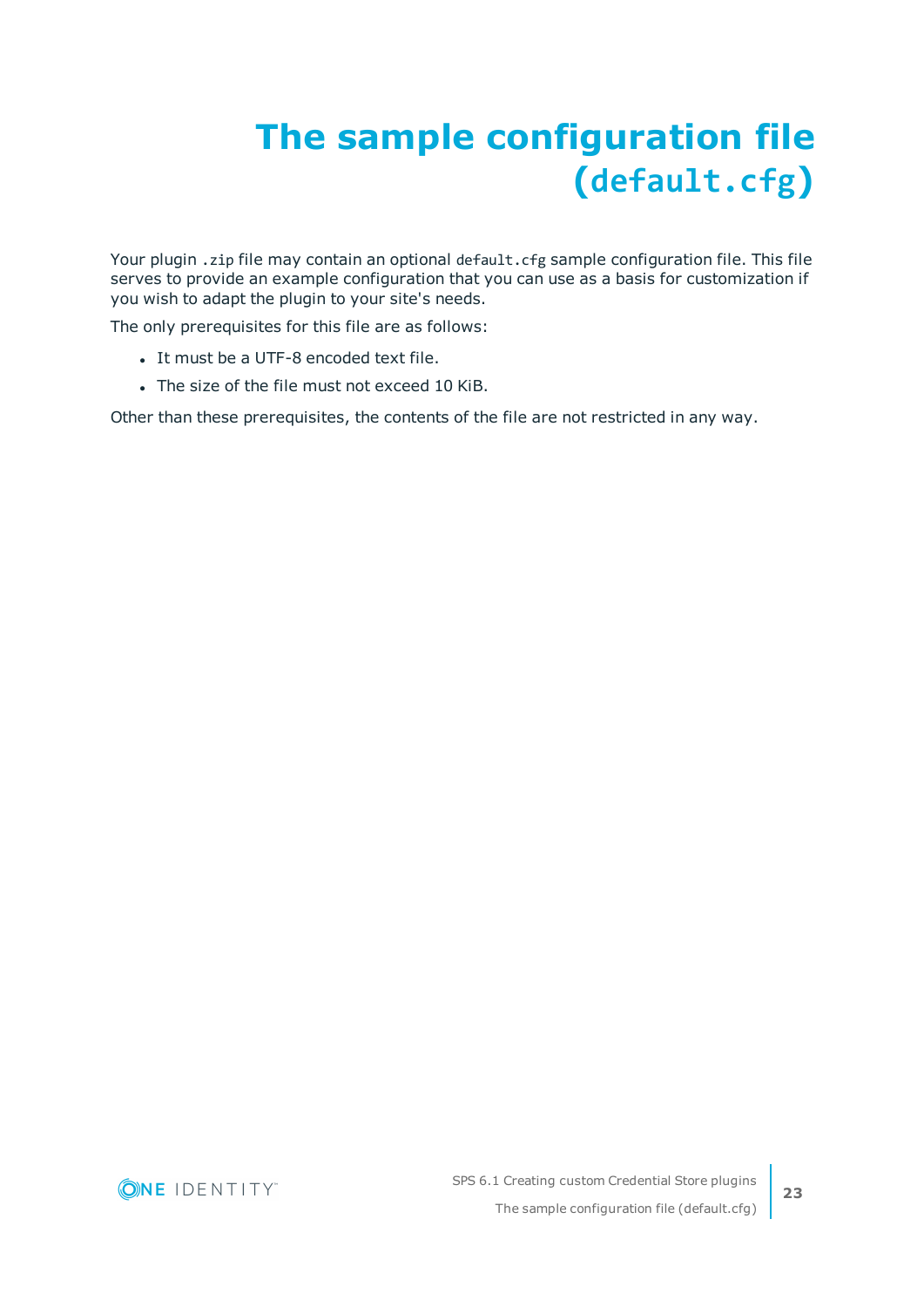# <span id="page-22-0"></span>**The sample configuration file (default.cfg)**

Your plugin .zip file may contain an optional default.cfg sample configuration file. This file serves to provide an example configuration that you can use as a basis for customization if you wish to adapt the plugin to your site's needs.

The only prerequisites for this file are as follows:

- It must be a UTF-8 encoded text file.
- The size of the file must not exceed 10 KiB.

Other than these prerequisites, the contents of the file are not restricted in any way.

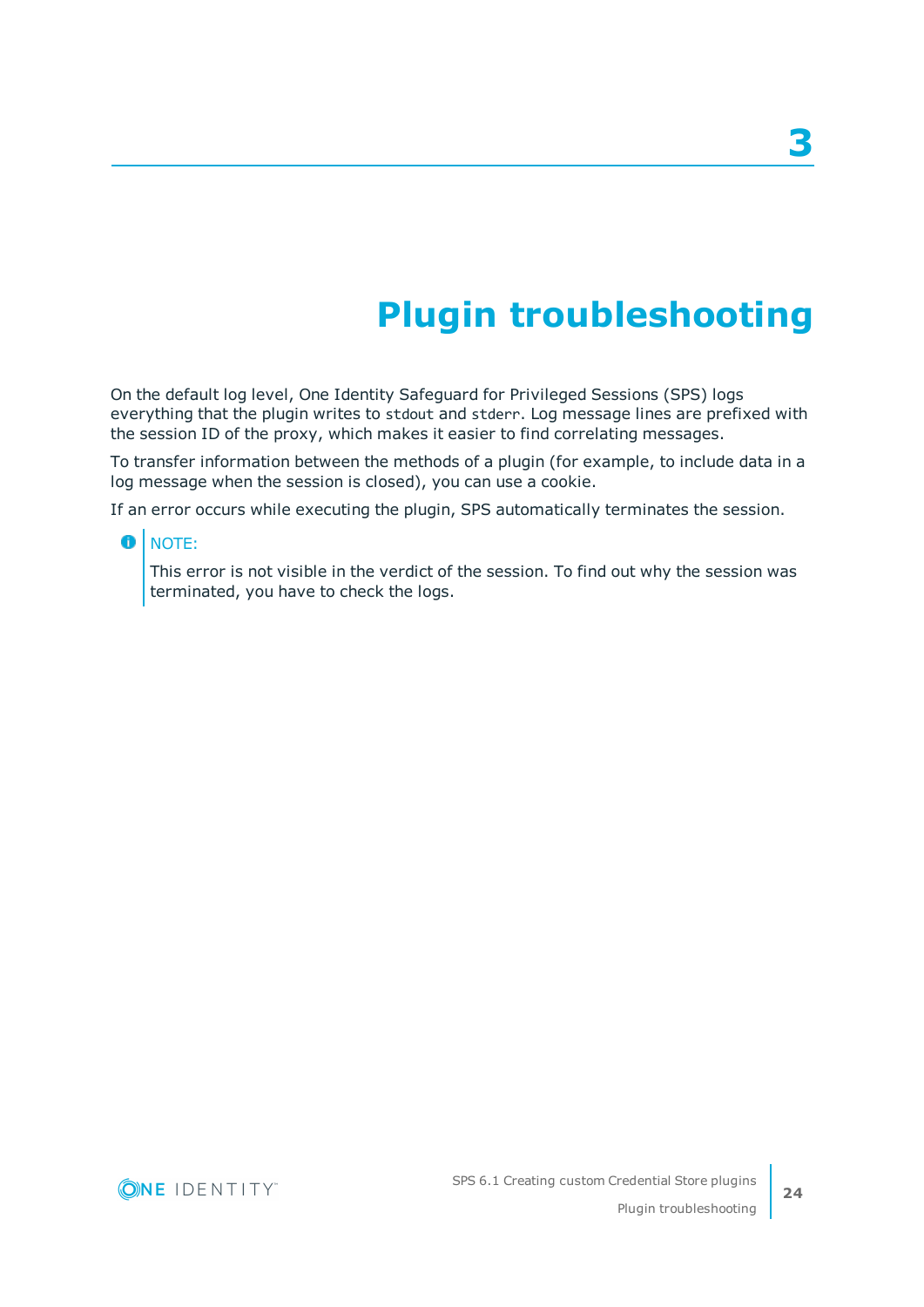## **Plugin troubleshooting**

<span id="page-23-0"></span>On the default log level, One Identity Safeguard for Privileged Sessions (SPS) logs everything that the plugin writes to stdout and stderr. Log message lines are prefixed with the session ID of the proxy, which makes it easier to find correlating messages.

To transfer information between the methods of a plugin (for example, to include data in a log message when the session is closed), you can use a cookie.

If an error occurs while executing the plugin, SPS automatically terminates the session.

#### **O** NOTE:

This error is not visible in the verdict of the session. To find out why the session was terminated, you have to check the logs.